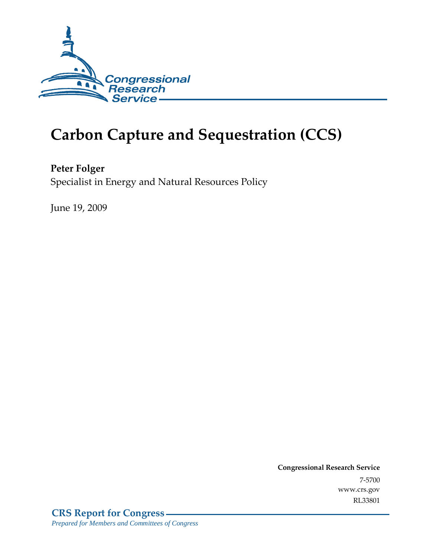

# **Carbon Capture and Sequestration (CCS)**

**Peter Folger**  Specialist in Energy and Natural Resources Policy

June 19, 2009

**Congressional Research Service** 7-5700 www.crs.gov RL33801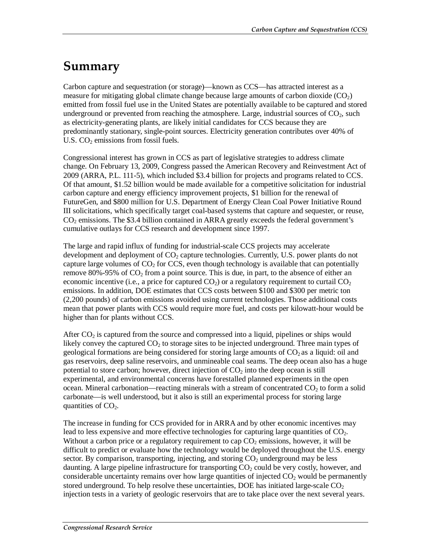# **Summary**

Carbon capture and sequestration (or storage)—known as CCS—has attracted interest as a measure for mitigating global climate change because large amounts of carbon dioxide  $(CO<sub>2</sub>)$ emitted from fossil fuel use in the United States are potentially available to be captured and stored underground or prevented from reaching the atmosphere. Large, industrial sources of  $CO<sub>2</sub>$ , such as electricity-generating plants, are likely initial candidates for CCS because they are predominantly stationary, single-point sources. Electricity generation contributes over 40% of U.S.  $CO<sub>2</sub>$  emissions from fossil fuels.

Congressional interest has grown in CCS as part of legislative strategies to address climate change. On February 13, 2009, Congress passed the American Recovery and Reinvestment Act of 2009 (ARRA, P.L. 111-5), which included \$3.4 billion for projects and programs related to CCS. Of that amount, \$1.52 billion would be made available for a competitive solicitation for industrial carbon capture and energy efficiency improvement projects, \$1 billion for the renewal of FutureGen, and \$800 million for U.S. Department of Energy Clean Coal Power Initiative Round III solicitations, which specifically target coal-based systems that capture and sequester, or reuse,  $CO<sub>2</sub>$  emissions. The \$3.4 billion contained in ARRA greatly exceeds the federal government's cumulative outlays for CCS research and development since 1997.

The large and rapid influx of funding for industrial-scale CCS projects may accelerate development and deployment of  $CO<sub>2</sub>$  capture technologies. Currently, U.S. power plants do not capture large volumes of  $CO<sub>2</sub>$  for CCS, even though technology is available that can potentially remove 80%-95% of  $CO<sub>2</sub>$  from a point source. This is due, in part, to the absence of either an economic incentive (i.e., a price for captured  $CO<sub>2</sub>$ ) or a regulatory requirement to curtail  $CO<sub>2</sub>$ emissions. In addition, DOE estimates that CCS costs between \$100 and \$300 per metric ton (2,200 pounds) of carbon emissions avoided using current technologies. Those additional costs mean that power plants with CCS would require more fuel, and costs per kilowatt-hour would be higher than for plants without CCS.

After  $CO<sub>2</sub>$  is captured from the source and compressed into a liquid, pipelines or ships would likely convey the captured  $CO<sub>2</sub>$  to storage sites to be injected underground. Three main types of geological formations are being considered for storing large amounts of  $CO<sub>2</sub>$  as a liquid: oil and gas reservoirs, deep saline reservoirs, and unmineable coal seams. The deep ocean also has a huge potential to store carbon; however, direct injection of  $CO<sub>2</sub>$  into the deep ocean is still experimental, and environmental concerns have forestalled planned experiments in the open ocean. Mineral carbonation—reacting minerals with a stream of concentrated  $CO<sub>2</sub>$  to form a solid carbonate—is well understood, but it also is still an experimental process for storing large quantities of  $CO<sub>2</sub>$ .

The increase in funding for CCS provided for in ARRA and by other economic incentives may lead to less expensive and more effective technologies for capturing large quantities of  $CO<sub>2</sub>$ . Without a carbon price or a regulatory requirement to cap  $CO<sub>2</sub>$  emissions, however, it will be difficult to predict or evaluate how the technology would be deployed throughout the U.S. energy sector. By comparison, transporting, injecting, and storing  $CO<sub>2</sub>$  underground may be less daunting. A large pipeline infrastructure for transporting  $CO<sub>2</sub>$  could be very costly, however, and considerable uncertainty remains over how large quantities of injected  $CO<sub>2</sub>$  would be permanently stored underground. To help resolve these uncertainties, DOE has initiated large-scale  $CO<sub>2</sub>$ injection tests in a variety of geologic reservoirs that are to take place over the next several years.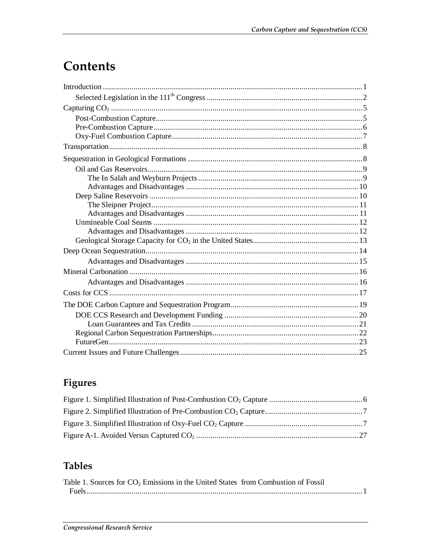# Contents

## Figures

## **Tables**

| Table 1. Sources for CO <sub>2</sub> Emissions in the United States from Combustion of Fossil |  |
|-----------------------------------------------------------------------------------------------|--|
|                                                                                               |  |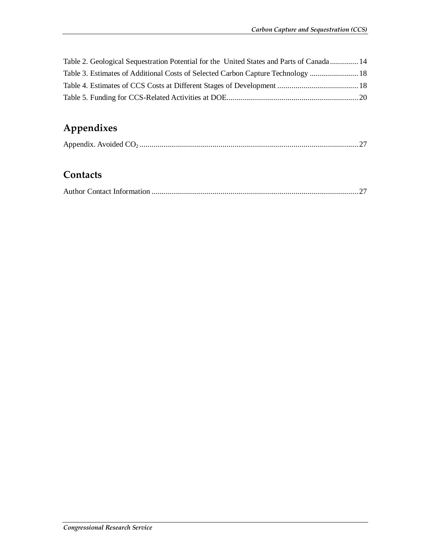| Table 2. Geological Sequestration Potential for the United States and Parts of Canada 14 |  |
|------------------------------------------------------------------------------------------|--|
| Table 3. Estimates of Additional Costs of Selected Carbon Capture Technology  18         |  |
|                                                                                          |  |
|                                                                                          |  |

## **Appendixes**

|--|--|--|

## **Contacts**

|--|--|--|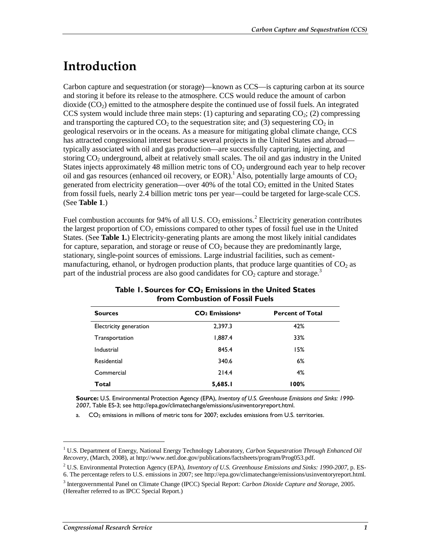# **Introduction**

Carbon capture and sequestration (or storage)—known as CCS—is capturing carbon at its source and storing it before its release to the atmosphere. CCS would reduce the amount of carbon dioxide  $(CO<sub>2</sub>)$  emitted to the atmosphere despite the continued use of fossil fuels. An integrated CCS system would include three main steps: (1) capturing and separating  $CO<sub>2</sub>$ ; (2) compressing and transporting the captured  $CO<sub>2</sub>$  to the sequestration site; and (3) sequestering  $CO<sub>2</sub>$  in geological reservoirs or in the oceans. As a measure for mitigating global climate change, CCS has attracted congressional interest because several projects in the United States and abroad typically associated with oil and gas production—are successfully capturing, injecting, and storing CO<sub>2</sub> underground, albeit at relatively small scales. The oil and gas industry in the United States injects approximately 48 million metric tons of  $CO<sub>2</sub>$  underground each year to help recover oil and gas resources (enhanced oil recovery, or EOR).<sup>1</sup> Also, potentially large amounts of  $CO<sub>2</sub>$ generated from electricity generation—over 40% of the total  $CO<sub>2</sub>$  emitted in the United States from fossil fuels, nearly 2.4 billion metric tons per year—could be targeted for large-scale CCS. (See **Table 1**.)

Fuel combustion accounts for 94% of all U.S.  $CO_2$  emissions.<sup>2</sup> Electricity generation contributes the largest proportion of  $CO_2$  emissions compared to other types of fossil fuel use in the United States. (See **Table 1.**) Electricity-generating plants are among the most likely initial candidates for capture, separation, and storage or reuse of  $CO<sub>2</sub>$  because they are predominantly large, stationary, single-point sources of emissions. Large industrial facilities, such as cementmanufacturing, ethanol, or hydrogen production plants, that produce large quantities of  $CO<sub>2</sub>$  as part of the industrial process are also good candidates for  $CO_2$  capture and storage.<sup>3</sup>

| <b>Sources</b>         | $CO2$ Emissions <sup>a</sup> | <b>Percent of Total</b> |
|------------------------|------------------------------|-------------------------|
| Electricity generation | 2,397.3                      | 42%                     |
| Transportation         | 1,887.4                      | 33%                     |
| Industrial             | 845.4                        | 15%                     |
| Residential            | 340.6                        | 6%                      |
| Commercial             | 214.4                        | 4%                      |
| Total                  | 5,685.1                      | 100%                    |

#### Table 1. Sources for CO<sub>2</sub> Emissions in the United States **from Combustion of Fossil Fuels**

**Source:** U.S. Environmental Protection Agency (EPA), *Inventory of U.S. Greenhouse Emissions and Sinks: 1990- 2007*, Table ES-3; see http://epa.gov/climatechange/emissions/usinventoryreport.html.

a. CO<sub>2</sub> emissions in millions of metric tons for 2007; excludes emissions from U.S. territories.

<sup>&</sup>lt;sup>1</sup> U.S. Department of Energy, National Energy Technology Laboratory, *Carbon Sequestration Through Enhanced Oil Recovery*, (March, 2008), at http://www.netl.doe.gov/publications/factsheets/program/Prog053.pdf.

<sup>2</sup> U.S. Environmental Protection Agency (EPA), *Inventory of U.S. Greenhouse Emissions and Sinks: 1990-2007,* p. ES-6. The percentage refers to U.S. emissions in 2007; see http://epa.gov/climatechange/emissions/usinventoryreport.html.

<sup>3</sup> Intergovernmental Panel on Climate Change (IPCC) Special Report: *Carbon Dioxide Capture and Storage*, 2005. (Hereafter referred to as IPCC Special Report.)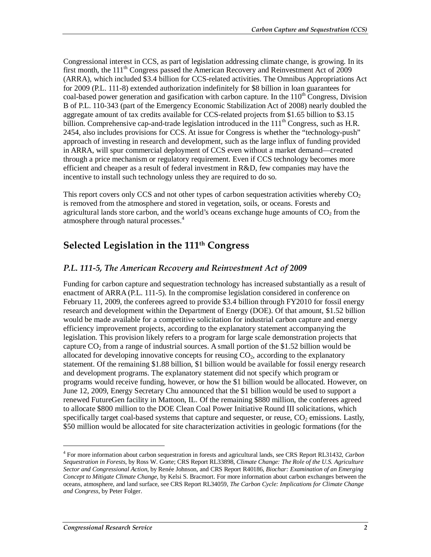Congressional interest in CCS, as part of legislation addressing climate change, is growing. In its first month, the 111<sup>th</sup> Congress passed the American Recovery and Reinvestment Act of 2009 (ARRA), which included \$3.4 billion for CCS-related activities. The Omnibus Appropriations Act for 2009 (P.L. 111-8) extended authorization indefinitely for \$8 billion in loan guarantees for coal-based power generation and gasification with carbon capture. In the  $110<sup>th</sup>$  Congress, Division B of P.L. 110-343 (part of the Emergency Economic Stabilization Act of 2008) nearly doubled the aggregate amount of tax credits available for CCS-related projects from \$1.65 billion to \$3.15 billion. Comprehensive cap-and-trade legislation introduced in the 111<sup>th</sup> Congress, such as H.R. 2454, also includes provisions for CCS. At issue for Congress is whether the "technology-push" approach of investing in research and development, such as the large influx of funding provided in ARRA, will spur commercial deployment of CCS even without a market demand—created through a price mechanism or regulatory requirement. Even if CCS technology becomes more efficient and cheaper as a result of federal investment in R&D, few companies may have the incentive to install such technology unless they are required to do so.

This report covers only CCS and not other types of carbon sequestration activities whereby  $CO<sub>2</sub>$ is removed from the atmosphere and stored in vegetation, soils, or oceans. Forests and agricultural lands store carbon, and the world's oceans exchange huge amounts of  $CO<sub>2</sub>$  from the atmosphere through natural processes.<sup>4</sup>

## **Selected Legislation in the 111th Congress**

#### *P.L. 111-5, The American Recovery and Reinvestment Act of 2009*

Funding for carbon capture and sequestration technology has increased substantially as a result of enactment of ARRA (P.L. 111-5). In the compromise legislation considered in conference on February 11, 2009, the conferees agreed to provide \$3.4 billion through FY2010 for fossil energy research and development within the Department of Energy (DOE). Of that amount, \$1.52 billion would be made available for a competitive solicitation for industrial carbon capture and energy efficiency improvement projects, according to the explanatory statement accompanying the legislation. This provision likely refers to a program for large scale demonstration projects that capture  $CO<sub>2</sub>$  from a range of industrial sources. A small portion of the \$1.52 billion would be allocated for developing innovative concepts for reusing  $CO<sub>2</sub>$ , according to the explanatory statement. Of the remaining \$1.88 billion, \$1 billion would be available for fossil energy research and development programs. The explanatory statement did not specify which program or programs would receive funding, however, or how the \$1 billion would be allocated. However, on June 12, 2009, Energy Secretary Chu announced that the \$1 billion would be used to support a renewed FutureGen facility in Mattoon, IL. Of the remaining \$880 million, the conferees agreed to allocate \$800 million to the DOE Clean Coal Power Initiative Round III solicitations, which specifically target coal-based systems that capture and sequester, or reuse,  $CO<sub>2</sub>$  emissions. Lastly, \$50 million would be allocated for site characterization activities in geologic formations (for the

<sup>4</sup> For more information about carbon sequestration in forests and agricultural lands, see CRS Report RL31432, *Carbon Sequestration in Forests*, by Ross W. Gorte; CRS Report RL33898, *Climate Change: The Role of the U.S. Agriculture Sector and Congressional Action*, by Renée Johnson, and CRS Report R40186, *Biochar: Examination of an Emerging Concept to Mitigate Climate Change*, by Kelsi S. Bracmort. For more information about carbon exchanges between the oceans, atmosphere, and land surface, see CRS Report RL34059, *The Carbon Cycle: Implications for Climate Change and Congress*, by Peter Folger.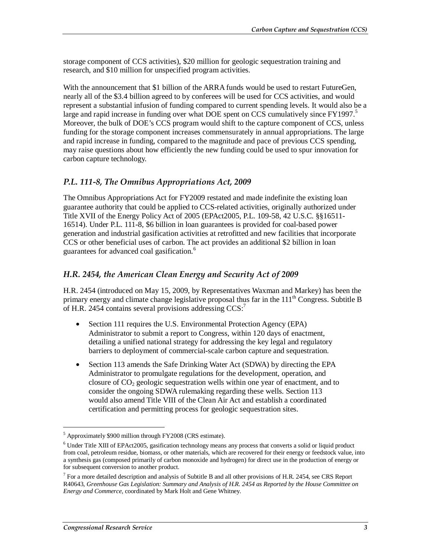storage component of CCS activities), \$20 million for geologic sequestration training and research, and \$10 million for unspecified program activities.

With the announcement that \$1 billion of the ARRA funds would be used to restart FutureGen, nearly all of the \$3.4 billion agreed to by conferees will be used for CCS activities, and would represent a substantial infusion of funding compared to current spending levels. It would also be a large and rapid increase in funding over what DOE spent on CCS cumulatively since  $FY1997.5$ Moreover, the bulk of DOE's CCS program would shift to the capture component of CCS, unless funding for the storage component increases commensurately in annual appropriations. The large and rapid increase in funding, compared to the magnitude and pace of previous CCS spending, may raise questions about how efficiently the new funding could be used to spur innovation for carbon capture technology.

#### *P.L. 111-8, The Omnibus Appropriations Act, 2009*

The Omnibus Appropriations Act for FY2009 restated and made indefinite the existing loan guarantee authority that could be applied to CCS-related activities, originally authorized under Title XVII of the Energy Policy Act of 2005 (EPAct2005, P.L. 109-58, 42 U.S.C. §§16511- 16514). Under P.L. 111-8, \$6 billion in loan guarantees is provided for coal-based power generation and industrial gasification activities at retrofitted and new facilities that incorporate CCS or other beneficial uses of carbon. The act provides an additional \$2 billion in loan guarantees for advanced coal gasification.<sup>6</sup>

#### *H.R. 2454, the American Clean Energy and Security Act of 2009*

H.R. 2454 (introduced on May 15, 2009, by Representatives Waxman and Markey) has been the primary energy and climate change legislative proposal thus far in the  $111<sup>th</sup>$  Congress. Subtitle B of H.R. 2454 contains several provisions addressing  $CCS$ :

- Section 111 requires the U.S. Environmental Protection Agency (EPA) Administrator to submit a report to Congress, within 120 days of enactment, detailing a unified national strategy for addressing the key legal and regulatory barriers to deployment of commercial-scale carbon capture and sequestration.
- Section 113 amends the Safe Drinking Water Act (SDWA) by directing the EPA Administrator to promulgate regulations for the development, operation, and closure of  $CO<sub>2</sub>$  geologic sequestration wells within one year of enactment, and to consider the ongoing SDWA rulemaking regarding these wells. Section 113 would also amend Title VIII of the Clean Air Act and establish a coordinated certification and permitting process for geologic sequestration sites.

<sup>&</sup>lt;sup>5</sup> Approximately \$900 million through FY2008 (CRS estimate).

<sup>&</sup>lt;sup>6</sup> Under Title XIII of EPAct2005, gasification technology means any process that converts a solid or liquid product from coal, petroleum residue, biomass, or other materials, which are recovered for their energy or feedstock value, into a synthesis gas (composed primarily of carbon monoxide and hydrogen) for direct use in the production of energy or for subsequent conversion to another product.

 $<sup>7</sup>$  For a more detailed description and analysis of Subtitle B and all other provisions of H.R. 2454, see CRS Report</sup> R40643, *Greenhouse Gas Legislation: Summary and Analysis of H.R. 2454 as Reported by the House Committee on Energy and Commerce*, coordinated by Mark Holt and Gene Whitney.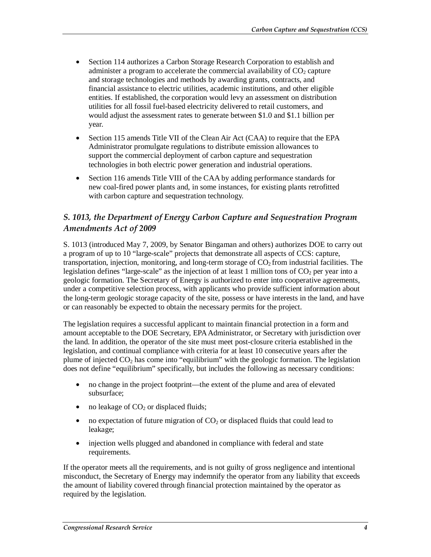- Section 114 authorizes a Carbon Storage Research Corporation to establish and administer a program to accelerate the commercial availability of  $CO<sub>2</sub>$  capture and storage technologies and methods by awarding grants, contracts, and financial assistance to electric utilities, academic institutions, and other eligible entities. If established, the corporation would levy an assessment on distribution utilities for all fossil fuel-based electricity delivered to retail customers, and would adjust the assessment rates to generate between \$1.0 and \$1.1 billion per year.
- Section 115 amends Title VII of the Clean Air Act (CAA) to require that the EPA Administrator promulgate regulations to distribute emission allowances to support the commercial deployment of carbon capture and sequestration technologies in both electric power generation and industrial operations.
- Section 116 amends Title VIII of the CAA by adding performance standards for new coal-fired power plants and, in some instances, for existing plants retrofitted with carbon capture and sequestration technology.

### *S. 1013, the Department of Energy Carbon Capture and Sequestration Program Amendments Act of 2009*

S. 1013 (introduced May 7, 2009, by Senator Bingaman and others) authorizes DOE to carry out a program of up to 10 "large-scale" projects that demonstrate all aspects of CCS: capture, transportation, injection, monitoring, and long-term storage of  $CO<sub>2</sub>$  from industrial facilities. The legislation defines "large-scale" as the injection of at least 1 million tons of  $CO<sub>2</sub>$  per year into a geologic formation. The Secretary of Energy is authorized to enter into cooperative agreements, under a competitive selection process, with applicants who provide sufficient information about the long-term geologic storage capacity of the site, possess or have interests in the land, and have or can reasonably be expected to obtain the necessary permits for the project.

The legislation requires a successful applicant to maintain financial protection in a form and amount acceptable to the DOE Secretary, EPA Administrator, or Secretary with jurisdiction over the land. In addition, the operator of the site must meet post-closure criteria established in the legislation, and continual compliance with criteria for at least 10 consecutive years after the plume of injected  $CO<sub>2</sub>$  has come into "equilibrium" with the geologic formation. The legislation does not define "equilibrium" specifically, but includes the following as necessary conditions:

- no change in the project footprint—the extent of the plume and area of elevated subsurface;
- no leakage of  $CO<sub>2</sub>$  or displaced fluids;
- no expectation of future migration of  $CO<sub>2</sub>$  or displaced fluids that could lead to leakage;
- injection wells plugged and abandoned in compliance with federal and state requirements.

If the operator meets all the requirements, and is not guilty of gross negligence and intentional misconduct, the Secretary of Energy may indemnify the operator from any liability that exceeds the amount of liability covered through financial protection maintained by the operator as required by the legislation.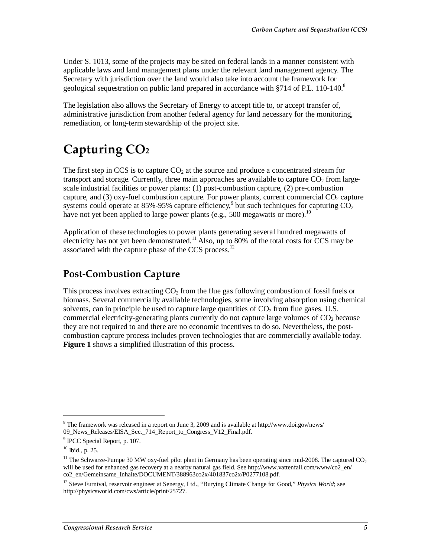Under S. 1013, some of the projects may be sited on federal lands in a manner consistent with applicable laws and land management plans under the relevant land management agency. The Secretary with jurisdiction over the land would also take into account the framework for geological sequestration on public land prepared in accordance with §714 of P.L. 110-140. $8$ 

The legislation also allows the Secretary of Energy to accept title to, or accept transfer of, administrative jurisdiction from another federal agency for land necessary for the monitoring, remediation, or long-term stewardship of the project site.

# **Capturing CO2**

The first step in CCS is to capture  $CO<sub>2</sub>$  at the source and produce a concentrated stream for transport and storage. Currently, three main approaches are available to capture  $CO<sub>2</sub>$  from largescale industrial facilities or power plants: (1) post-combustion capture, (2) pre-combustion capture, and (3) oxy-fuel combustion capture. For power plants, current commercial  $CO<sub>2</sub>$  capture systems could operate at 85%-95% capture efficiency,<sup>9</sup> but such techniques for capturing  $CO<sub>2</sub>$ have not yet been applied to large power plants (e.g., 500 megawatts or more).<sup>10</sup>

Application of these technologies to power plants generating several hundred megawatts of electricity has not yet been demonstrated.<sup>11</sup> Also, up to 80% of the total costs for CCS may be associated with the capture phase of the CCS process.<sup>12</sup>

## **Post-Combustion Capture**

This process involves extracting  $CO<sub>2</sub>$  from the flue gas following combustion of fossil fuels or biomass. Several commercially available technologies, some involving absorption using chemical solvents, can in principle be used to capture large quantities of  $CO<sub>2</sub>$  from flue gases. U.S. commercial electricity-generating plants currently do not capture large volumes of  $CO<sub>2</sub>$  because they are not required to and there are no economic incentives to do so. Nevertheless, the postcombustion capture process includes proven technologies that are commercially available today. **Figure 1** shows a simplified illustration of this process.

<u>.</u>

<sup>&</sup>lt;sup>8</sup> The framework was released in a report on June 3, 2009 and is available at http://www.doi.gov/news/ 09\_News\_Releases/EISA\_Sec.\_714\_Report\_to\_Congress\_V12\_Final.pdf.

<sup>&</sup>lt;sup>9</sup> IPCC Special Report, p. 107.

<sup>10</sup> Ibid., p. 25.

<sup>&</sup>lt;sup>11</sup> The Schwarze-Pumpe 30 MW oxy-fuel pilot plant in Germany has been operating since mid-2008. The captured  $CO<sub>2</sub>$ will be used for enhanced gas recovery at a nearby natural gas field. See http://www.vattenfall.com/www/co2\_en/ co2\_en/Gemeinsame\_Inhalte/DOCUMENT/388963co2x/401837co2x/P0277108.pdf.

<sup>&</sup>lt;sup>12</sup> Steve Furnival, reservoir engineer at Senergy, Ltd., "Burying Climate Change for Good," *Physics World*; see http://physicsworld.com/cws/article/print/25727.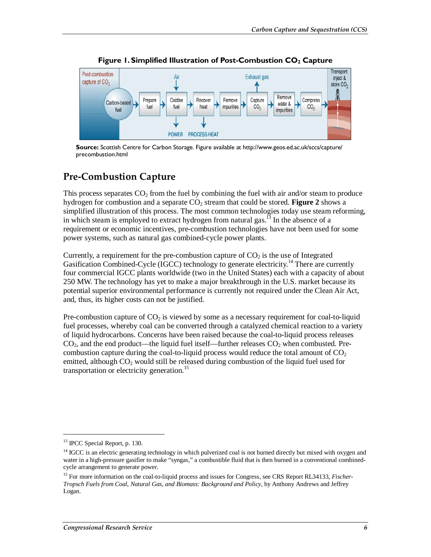

**Figure 1. Simplified Illustration of Post-Combustion CO<sub>2</sub> Capture** 

**Source:** Scottish Centre for Carbon Storage. Figure available at http://www.geos.ed.ac.uk/sccs/capture/ precombustion.html

### **Pre-Combustion Capture**

This process separates  $CO<sub>2</sub>$  from the fuel by combining the fuel with air and/or steam to produce hydrogen for combustion and a separate CO<sub>2</sub> stream that could be stored. **Figure 2** shows a simplified illustration of this process. The most common technologies today use steam reforming, in which steam is employed to extract hydrogen from natural gas.<sup>13</sup> In the absence of a requirement or economic incentives, pre-combustion technologies have not been used for some power systems, such as natural gas combined-cycle power plants.

Currently, a requirement for the pre-combustion capture of  $CO<sub>2</sub>$  is the use of Integrated Gasification Combined-Cycle (IGCC) technology to generate electricity.<sup>14</sup> There are currently four commercial IGCC plants worldwide (two in the United States) each with a capacity of about 250 MW. The technology has yet to make a major breakthrough in the U.S. market because its potential superior environmental performance is currently not required under the Clean Air Act, and, thus, its higher costs can not be justified.

Pre-combustion capture of  $CO<sub>2</sub>$  is viewed by some as a necessary requirement for coal-to-liquid fuel processes, whereby coal can be converted through a catalyzed chemical reaction to a variety of liquid hydrocarbons. Concerns have been raised because the coal-to-liquid process releases  $CO<sub>2</sub>$ , and the end product—the liquid fuel itself—further releases  $CO<sub>2</sub>$  when combusted. Precombustion capture during the coal-to-liquid process would reduce the total amount of  $CO<sub>2</sub>$ emitted, although  $CO<sub>2</sub>$  would still be released during combustion of the liquid fuel used for transportation or electricity generation.<sup>15</sup>

<u>.</u>

<sup>&</sup>lt;sup>13</sup> IPCC Special Report, p. 130.

<sup>&</sup>lt;sup>14</sup> IGCC is an electric generating technology in which pulverized coal is not burned directly but mixed with oxygen and water in a high-pressure gasifier to make "syngas," a combustible fluid that is then burned in a conventional combinedcycle arrangement to generate power.

<sup>15</sup> For more information on the coal-to-liquid process and issues for Congress, see CRS Report RL34133, *Fischer-Tropsch Fuels from Coal, Natural Gas, and Biomass: Background and Policy*, by Anthony Andrews and Jeffrey Logan.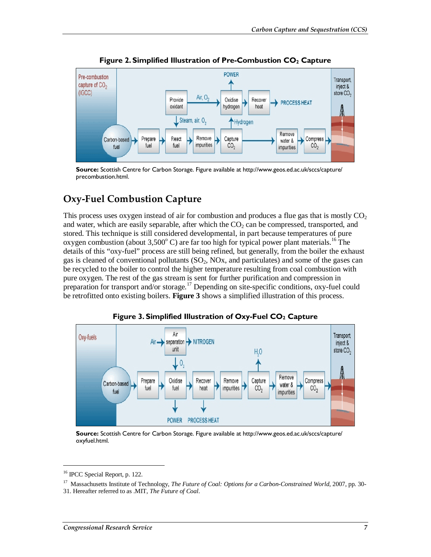

**Figure 2. Simplified Illustration of Pre-Combustion CO<sub>2</sub> Capture** 

**Source:** Scottish Centre for Carbon Storage. Figure available at http://www.geos.ed.ac.uk/sccs/capture/ precombustion.html.

## **Oxy-Fuel Combustion Capture**

This process uses oxygen instead of air for combustion and produces a flue gas that is mostly  $CO<sub>2</sub>$ and water, which are easily separable, after which the  $CO<sub>2</sub>$  can be compressed, transported, and stored. This technique is still considered developmental, in part because temperatures of pure oxygen combustion (about 3,500 $^{\circ}$  C) are far too high for typical power plant materials.<sup>16</sup> The details of this "oxy-fuel" process are still being refined, but generally, from the boiler the exhaust gas is cleaned of conventional pollutants  $(SO<sub>2</sub>, NOx, and particulates)$  and some of the gases can be recycled to the boiler to control the higher temperature resulting from coal combustion with pure oxygen. The rest of the gas stream is sent for further purification and compression in preparation for transport and/or storage.<sup>17</sup> Depending on site-specific conditions, oxy-fuel could be retrofitted onto existing boilers. **Figure 3** shows a simplified illustration of this process.



Figure 3. Simplified Illustration of Oxy-Fuel CO<sub>2</sub> Capture

**Source:** Scottish Centre for Carbon Storage. Figure available at http://www.geos.ed.ac.uk/sccs/capture/ oxyfuel.html.

<sup>16</sup> IPCC Special Report, p. 122.

<sup>&</sup>lt;sup>17</sup> Massachusetts Institute of Technology, *The Future of Coal: Options for a Carbon-Constrained World*, 2007, pp. 30-

<sup>31.</sup> Hereafter referred to as .MIT, *The Future of Coal*.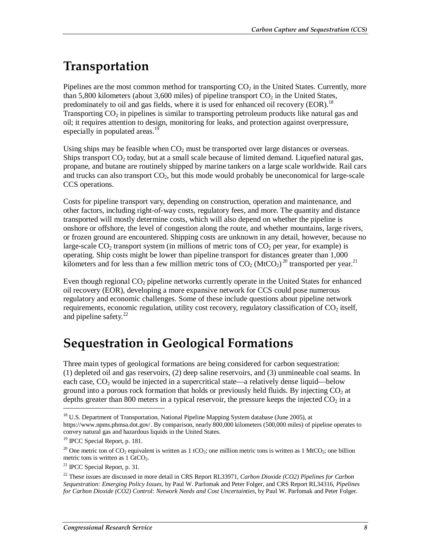# **Transportation**

Pipelines are the most common method for transporting  $CO<sub>2</sub>$  in the United States. Currently, more than 5,800 kilometers (about 3,600 miles) of pipeline transport  $CO<sub>2</sub>$  in the United States, predominately to oil and gas fields, where it is used for enhanced oil recovery (EOR).<sup>18</sup> Transporting  $CO<sub>2</sub>$  in pipelines is similar to transporting petroleum products like natural gas and oil; it requires attention to design, monitoring for leaks, and protection against overpressure, especially in populated areas.<sup>19</sup>

Using ships may be feasible when  $CO<sub>2</sub>$  must be transported over large distances or overseas. Ships transport  $CO<sub>2</sub>$  today, but at a small scale because of limited demand. Liquefied natural gas, propane, and butane are routinely shipped by marine tankers on a large scale worldwide. Rail cars and trucks can also transport  $CO<sub>2</sub>$ , but this mode would probably be uneconomical for large-scale CCS operations.

Costs for pipeline transport vary, depending on construction, operation and maintenance, and other factors, including right-of-way costs, regulatory fees, and more. The quantity and distance transported will mostly determine costs, which will also depend on whether the pipeline is onshore or offshore, the level of congestion along the route, and whether mountains, large rivers, or frozen ground are encountered. Shipping costs are unknown in any detail, however, because no large-scale  $CO<sub>2</sub>$  transport system (in millions of metric tons of  $CO<sub>2</sub>$  per year, for example) is operating. Ship costs might be lower than pipeline transport for distances greater than 1,000 kilometers and for less than a few million metric tons of  $CO_2$  (MtCO<sub>2</sub>)<sup>20</sup> transported per year.<sup>21</sup>

Even though regional  $CO<sub>2</sub>$  pipeline networks currently operate in the United States for enhanced oil recovery (EOR), developing a more expansive network for CCS could pose numerous regulatory and economic challenges. Some of these include questions about pipeline network requirements, economic regulation, utility cost recovery, regulatory classification of CO<sub>2</sub> itself, and pipeline safety. $^{22}$ 

## **Sequestration in Geological Formations**

Three main types of geological formations are being considered for carbon sequestration: (1) depleted oil and gas reservoirs, (2) deep saline reservoirs, and (3) unmineable coal seams. In each case,  $CO<sub>2</sub>$  would be injected in a supercritical state—a relatively dense liquid—below ground into a porous rock formation that holds or previously held fluids. By injecting  $CO<sub>2</sub>$  at depths greater than 800 meters in a typical reservoir, the pressure keeps the injected  $CO<sub>2</sub>$  in a

<sup>&</sup>lt;sup>18</sup> U.S. Department of Transportation, National Pipeline Mapping System database (June 2005), at https://www.npms.phmsa.dot.gov/. By comparison, nearly 800,000 kilometers (500,000 miles) of pipeline operates to convey natural gas and hazardous liquids in the United States.

<sup>19</sup> IPCC Special Report, p. 181.

<sup>&</sup>lt;sup>20</sup> One metric ton of CO<sub>2</sub> equivalent is written as 1 tCO<sub>2</sub>; one million metric tons is written as 1 MtCO<sub>2</sub>; one billion metric tons is written as  $1 \text{ GtCO}_2$ .

<sup>21</sup> IPCC Special Report, p. 31.

<sup>22</sup> These issues are discussed in more detail in CRS Report RL33971, *Carbon Dioxide (CO2) Pipelines for Carbon Sequestration: Emerging Policy Issues*, by Paul W. Parfomak and Peter Folger, and CRS Report RL34316, *Pipelines for Carbon Dioxide (CO2) Control: Network Needs and Cost Uncertainties*, by Paul W. Parfomak and Peter Folger.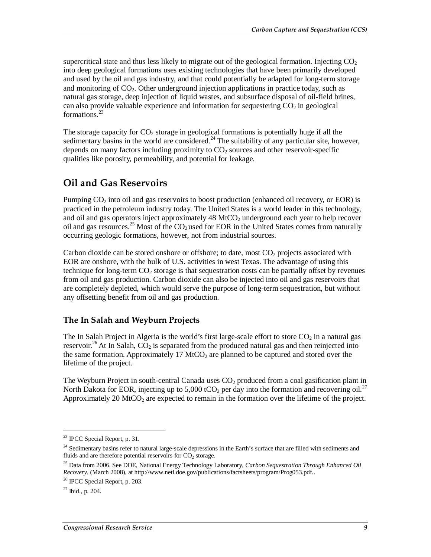supercritical state and thus less likely to migrate out of the geological formation. Injecting  $CO<sub>2</sub>$ into deep geological formations uses existing technologies that have been primarily developed and used by the oil and gas industry, and that could potentially be adapted for long-term storage and monitoring of  $CO<sub>2</sub>$ . Other underground injection applications in practice today, such as natural gas storage, deep injection of liquid wastes, and subsurface disposal of oil-field brines, can also provide valuable experience and information for sequestering  $CO<sub>2</sub>$  in geological formations.<sup>23</sup>

The storage capacity for  $CO<sub>2</sub>$  storage in geological formations is potentially huge if all the sedimentary basins in the world are considered.<sup>24</sup> The suitability of any particular site, however, depends on many factors including proximity to  $CO<sub>2</sub>$  sources and other reservoir-specific qualities like porosity, permeability, and potential for leakage.

## **Oil and Gas Reservoirs**

Pumping  $CO<sub>2</sub>$  into oil and gas reservoirs to boost production (enhanced oil recovery, or EOR) is practiced in the petroleum industry today. The United States is a world leader in this technology, and oil and gas operators inject approximately  $48 \text{ MtCO}_2$  underground each year to help recover oil and gas resources.<sup>25</sup> Most of the  $CO<sub>2</sub>$  used for EOR in the United States comes from naturally occurring geologic formations, however, not from industrial sources.

Carbon dioxide can be stored onshore or offshore; to date, most  $CO<sub>2</sub>$  projects associated with EOR are onshore, with the bulk of U.S. activities in west Texas. The advantage of using this technique for long-term  $CO<sub>2</sub>$  storage is that sequestration costs can be partially offset by revenues from oil and gas production. Carbon dioxide can also be injected into oil and gas reservoirs that are completely depleted, which would serve the purpose of long-term sequestration, but without any offsetting benefit from oil and gas production.

### **The In Salah and Weyburn Projects**

The In Salah Project in Algeria is the world's first large-scale effort to store  $CO<sub>2</sub>$  in a natural gas reservoir.<sup>26</sup> At In Salah,  $CO<sub>2</sub>$  is separated from the produced natural gas and then reinjected into the same formation. Approximately 17 MtCO<sub>2</sub> are planned to be captured and stored over the lifetime of the project.

The Weyburn Project in south-central Canada uses  $CO<sub>2</sub>$  produced from a coal gasification plant in North Dakota for EOR, injecting up to 5,000 tCO<sub>2</sub> per day into the formation and recovering oil.<sup>27</sup> Approximately 20 MtCO<sub>2</sub> are expected to remain in the formation over the lifetime of the project.

<u>.</u>

 $23$  IPCC Special Report, p. 31.

 $24$  Sedimentary basins refer to natural large-scale depressions in the Earth's surface that are filled with sediments and fluids and are therefore potential reservoirs for  $CO<sub>2</sub>$  storage.

<sup>25</sup> Data from 2006. See DOE, National Energy Technology Laboratory, *Carbon Sequestration Through Enhanced Oil Recovery*, (March 2008), at http://www.netl.doe.gov/publications/factsheets/program/Prog053.pdf.. 26 IPCC Special Report, p. 203.

 $27$  Ibid., p. 204.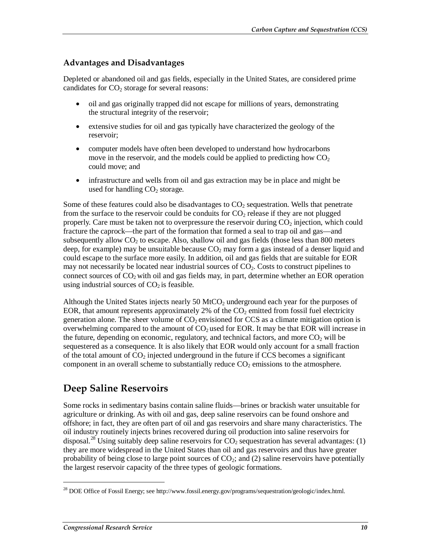#### **Advantages and Disadvantages**

Depleted or abandoned oil and gas fields, especially in the United States, are considered prime candidates for  $CO<sub>2</sub>$  storage for several reasons:

- oil and gas originally trapped did not escape for millions of years, demonstrating the structural integrity of the reservoir;
- extensive studies for oil and gas typically have characterized the geology of the reservoir;
- computer models have often been developed to understand how hydrocarbons move in the reservoir, and the models could be applied to predicting how  $CO<sub>2</sub>$ could move; and
- infrastructure and wells from oil and gas extraction may be in place and might be used for handling  $CO<sub>2</sub>$  storage.

Some of these features could also be disadvantages to  $CO<sub>2</sub>$  sequestration. Wells that penetrate from the surface to the reservoir could be conduits for  $CO<sub>2</sub>$  release if they are not plugged properly. Care must be taken not to overpressure the reservoir during  $CO<sub>2</sub>$  injection, which could fracture the caprock—the part of the formation that formed a seal to trap oil and gas—and subsequently allow  $CO<sub>2</sub>$  to escape. Also, shallow oil and gas fields (those less than 800 meters deep, for example) may be unsuitable because  $CO<sub>2</sub>$  may form a gas instead of a denser liquid and could escape to the surface more easily. In addition, oil and gas fields that are suitable for EOR may not necessarily be located near industrial sources of  $CO<sub>2</sub>$ . Costs to construct pipelines to connect sources of  $CO<sub>2</sub>$  with oil and gas fields may, in part, determine whether an EOR operation using industrial sources of  $CO<sub>2</sub>$  is feasible.

Although the United States injects nearly 50  $\text{MtCO}_2$  underground each year for the purposes of EOR, that amount represents approximately 2% of the  $CO<sub>2</sub>$  emitted from fossil fuel electricity generation alone. The sheer volume of  $CO<sub>2</sub>$  envisioned for CCS as a climate mitigation option is overwhelming compared to the amount of  $CO<sub>2</sub>$  used for EOR. It may be that EOR will increase in the future, depending on economic, regulatory, and technical factors, and more  $CO<sub>2</sub>$  will be sequestered as a consequence. It is also likely that EOR would only account for a small fraction of the total amount of  $CO<sub>2</sub>$  injected underground in the future if CCS becomes a significant component in an overall scheme to substantially reduce  $CO<sub>2</sub>$  emissions to the atmosphere.

## **Deep Saline Reservoirs**

Some rocks in sedimentary basins contain saline fluids—brines or brackish water unsuitable for agriculture or drinking. As with oil and gas, deep saline reservoirs can be found onshore and offshore; in fact, they are often part of oil and gas reservoirs and share many characteristics. The oil industry routinely injects brines recovered during oil production into saline reservoirs for disposal.<sup>28</sup> Using suitably deep saline reservoirs for  $CO_2$  sequestration has several advantages: (1) they are more widespread in the United States than oil and gas reservoirs and thus have greater probability of being close to large point sources of  $CO_2$ ; and (2) saline reservoirs have potentially the largest reservoir capacity of the three types of geologic formations.

<sup>&</sup>lt;sup>28</sup> DOE Office of Fossil Energy; see http://www.fossil.energy.gov/programs/sequestration/geologic/index.html.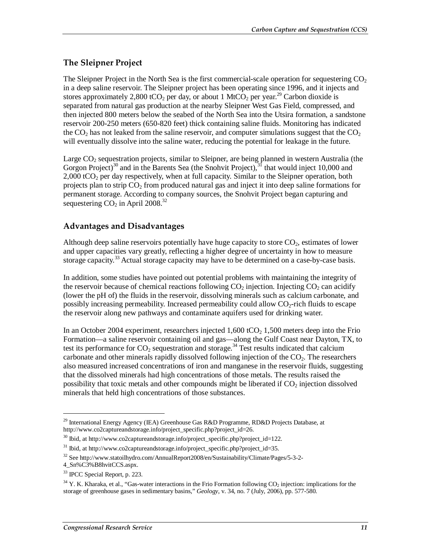### **The Sleipner Project**

The Sleipner Project in the North Sea is the first commercial-scale operation for sequestering  $CO<sub>2</sub>$ in a deep saline reservoir. The Sleipner project has been operating since 1996, and it injects and stores approximately 2,800 tCO<sub>2</sub> per day, or about 1 MtCO<sub>2</sub> per year.<sup>29</sup> Carbon dioxide is separated from natural gas production at the nearby Sleipner West Gas Field, compressed, and then injected 800 meters below the seabed of the North Sea into the Utsira formation, a sandstone reservoir 200-250 meters (650-820 feet) thick containing saline fluids. Monitoring has indicated the  $CO<sub>2</sub>$  has not leaked from the saline reservoir, and computer simulations suggest that the  $CO<sub>2</sub>$ will eventually dissolve into the saline water, reducing the potential for leakage in the future.

Large  $CO<sub>2</sub>$  sequestration projects, similar to Sleipner, are being planned in western Australia (the Gorgon Project)<sup>30</sup> and in the Barents Sea (the Snohvit Project),  $31$  that would inject 10,000 and  $2,000$  tCO<sub>2</sub> per day respectively, when at full capacity. Similar to the Sleipner operation, both projects plan to strip  $CO<sub>2</sub>$  from produced natural gas and inject it into deep saline formations for permanent storage. According to company sources, the Snohvit Project began capturing and sequestering  $CO<sub>2</sub>$  in April 2008.<sup>32</sup>

#### **Advantages and Disadvantages**

Although deep saline reservoirs potentially have huge capacity to store  $CO<sub>2</sub>$ , estimates of lower and upper capacities vary greatly, reflecting a higher degree of uncertainty in how to measure storage capacity.<sup>33</sup> Actual storage capacity may have to be determined on a case-by-case basis.

In addition, some studies have pointed out potential problems with maintaining the integrity of the reservoir because of chemical reactions following  $CO<sub>2</sub>$  injection. Injecting  $CO<sub>2</sub>$  can acidify (lower the pH of) the fluids in the reservoir, dissolving minerals such as calcium carbonate, and possibly increasing permeability. Increased permeability could allow  $CO<sub>2</sub>$ -rich fluids to escape the reservoir along new pathways and contaminate aquifers used for drinking water.

In an October 2004 experiment, researchers injected  $1,600$  tCO<sub>2</sub> 1,500 meters deep into the Frio Formation—a saline reservoir containing oil and gas—along the Gulf Coast near Dayton, TX, to test its performance for  $CO_2$  sequestration and storage.<sup>34</sup> Test results indicated that calcium carbonate and other minerals rapidly dissolved following injection of the  $CO<sub>2</sub>$ . The researchers also measured increased concentrations of iron and manganese in the reservoir fluids, suggesting that the dissolved minerals had high concentrations of those metals. The results raised the possibility that toxic metals and other compounds might be liberated if  $CO<sub>2</sub>$  injection dissolved minerals that held high concentrations of those substances.

<sup>&</sup>lt;sup>29</sup> International Energy Agency (IEA) Greenhouse Gas R&D Programme, RD&D Projects Database, at http://www.co2captureandstorage.info/project\_specific.php?project\_id=26.

 $30$  Ibid, at http://www.co2captureandstorage.info/project\_specific.php?project\_id=122.

<sup>&</sup>lt;sup>31</sup> Ibid, at http://www.co2captureandstorage.info/project\_specific.php?project\_id=35.

<sup>32</sup> See http://www.statoilhydro.com/AnnualReport2008/en/Sustainability/Climate/Pages/5-3-2-

<sup>4</sup>\_Sn%C3%B8hvitCCS.aspx.

<sup>33</sup> IPCC Special Report, p. 223.

 $34$  Y. K. Kharaka, et al., "Gas-water interactions in the Frio Formation following CO<sub>2</sub> injection: implications for the storage of greenhouse gases in sedimentary basins," *Geology*, v. 34, no. 7 (July, 2006), pp. 577-580.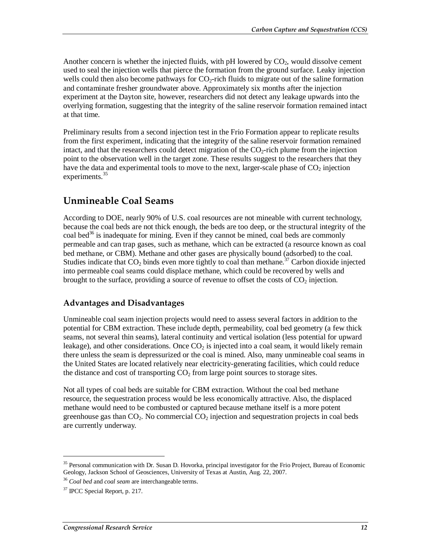Another concern is whether the injected fluids, with  $pH$  lowered by  $CO<sub>2</sub>$ , would dissolve cement used to seal the injection wells that pierce the formation from the ground surface. Leaky injection wells could then also become pathways for  $CO<sub>2</sub>$ -rich fluids to migrate out of the saline formation and contaminate fresher groundwater above. Approximately six months after the injection experiment at the Dayton site, however, researchers did not detect any leakage upwards into the overlying formation, suggesting that the integrity of the saline reservoir formation remained intact at that time.

Preliminary results from a second injection test in the Frio Formation appear to replicate results from the first experiment, indicating that the integrity of the saline reservoir formation remained intact, and that the researchers could detect migration of the  $CO<sub>2</sub>$ -rich plume from the injection point to the observation well in the target zone. These results suggest to the researchers that they have the data and experimental tools to move to the next, larger-scale phase of  $CO<sub>2</sub>$  injection experiments.<sup>35</sup>

## **Unmineable Coal Seams**

According to DOE, nearly 90% of U.S. coal resources are not mineable with current technology, because the coal beds are not thick enough, the beds are too deep, or the structural integrity of the coal bed<sup>36</sup> is inadequate for mining. Even if they cannot be mined, coal beds are commonly permeable and can trap gases, such as methane, which can be extracted (a resource known as coal bed methane, or CBM). Methane and other gases are physically bound (adsorbed) to the coal. Studies indicate that  $CO_2$  binds even more tightly to coal than methane.<sup>37</sup> Carbon dioxide injected into permeable coal seams could displace methane, which could be recovered by wells and brought to the surface, providing a source of revenue to offset the costs of  $CO<sub>2</sub>$  injection.

### **Advantages and Disadvantages**

Unmineable coal seam injection projects would need to assess several factors in addition to the potential for CBM extraction. These include depth, permeability, coal bed geometry (a few thick seams, not several thin seams), lateral continuity and vertical isolation (less potential for upward leakage), and other considerations. Once  $CO<sub>2</sub>$  is injected into a coal seam, it would likely remain there unless the seam is depressurized or the coal is mined. Also, many unmineable coal seams in the United States are located relatively near electricity-generating facilities, which could reduce the distance and cost of transporting  $CO<sub>2</sub>$  from large point sources to storage sites.

Not all types of coal beds are suitable for CBM extraction. Without the coal bed methane resource, the sequestration process would be less economically attractive. Also, the displaced methane would need to be combusted or captured because methane itself is a more potent greenhouse gas than  $CO<sub>2</sub>$ . No commercial  $CO<sub>2</sub>$  injection and sequestration projects in coal beds are currently underway.

<sup>&</sup>lt;sup>35</sup> Personal communication with Dr. Susan D. Hovorka, principal investigator for the Frio Project, Bureau of Economic Geology, Jackson School of Geosciences, University of Texas at Austin, Aug. 22, 2007.

<sup>36</sup> *Coal bed* and *coal seam* are interchangeable terms.

 $37$  IPCC Special Report, p. 217.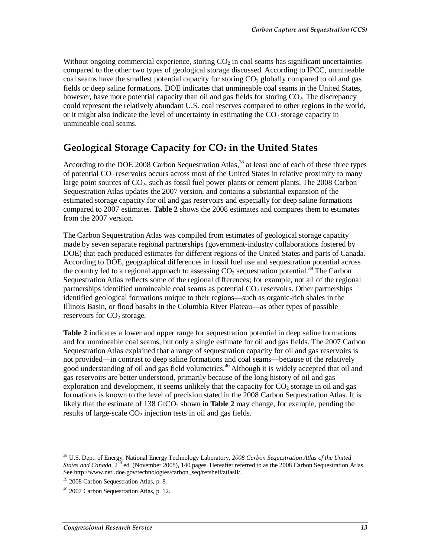Without ongoing commercial experience, storing  $CO<sub>2</sub>$  in coal seams has significant uncertainties compared to the other two types of geological storage discussed. According to IPCC, unmineable coal seams have the smallest potential capacity for storing  $CO<sub>2</sub>$  globally compared to oil and gas fields or deep saline formations. DOE indicates that unmineable coal seams in the United States, however, have more potential capacity than oil and gas fields for storing  $CO<sub>2</sub>$ . The discrepancy could represent the relatively abundant U.S. coal reserves compared to other regions in the world, or it might also indicate the level of uncertainty in estimating the  $CO<sub>2</sub>$  storage capacity in unmineable coal seams.

## **Geological Storage Capacity for CO2 in the United States**

According to the DOE 2008 Carbon Sequestration Atlas,<sup>38</sup> at least one of each of these three types of potential  $CO<sub>2</sub>$  reservoirs occurs across most of the United States in relative proximity to many large point sources of  $CO<sub>2</sub>$ , such as fossil fuel power plants or cement plants. The 2008 Carbon Sequestration Atlas updates the 2007 version, and contains a substantial expansion of the estimated storage capacity for oil and gas reservoirs and especially for deep saline formations compared to 2007 estimates. **Table 2** shows the 2008 estimates and compares them to estimates from the 2007 version.

The Carbon Sequestration Atlas was compiled from estimates of geological storage capacity made by seven separate regional partnerships (government-industry collaborations fostered by DOE) that each produced estimates for different regions of the United States and parts of Canada. According to DOE, geographical differences in fossil fuel use and sequestration potential across the country led to a regional approach to assessing  $CO_2$  sequestration potential.<sup>39</sup> The Carbon Sequestration Atlas reflects some of the regional differences; for example, not all of the regional partnerships identified unmineable coal seams as potential  $CO<sub>2</sub>$  reservoirs. Other partnerships identified geological formations unique to their regions—such as organic-rich shales in the Illinois Basin, or flood basalts in the Columbia River Plateau—as other types of possible reservoirs for  $CO<sub>2</sub>$  storage.

**Table 2** indicates a lower and upper range for sequestration potential in deep saline formations and for unmineable coal seams, but only a single estimate for oil and gas fields. The 2007 Carbon Sequestration Atlas explained that a range of sequestration capacity for oil and gas reservoirs is not provided—in contrast to deep saline formations and coal seams—because of the relatively good understanding of oil and gas field volumetrics.<sup>40</sup> Although it is widely accepted that oil and gas reservoirs are better understood, primarily because of the long history of oil and gas exploration and development, it seems unlikely that the capacity for  $CO<sub>2</sub>$  storage in oil and gas formations is known to the level of precision stated in the 2008 Carbon Sequestration Atlas. It is likely that the estimate of  $138$  GtCO<sub>2</sub> shown in **Table 2** may change, for example, pending the results of large-scale  $CO<sub>2</sub>$  injection tests in oil and gas fields.

<sup>38</sup> U.S. Dept. of Energy, National Energy Technology Laboratory, *2008 Carbon Sequestration Atlas of the United States and Canada*, 2<sup>nd</sup> ed. (November 2008), 140 pages. Hereafter referred to as the 2008 Carbon Sequestration Atlas. See http://www.netl.doe.gov/technologies/carbon\_seq/refshelf/atlasII/.<br><sup>39</sup> 2008 Carbon Sequestration Atlas, p. 8.

 $40$  2007 Carbon Sequestration Atlas, p. 12.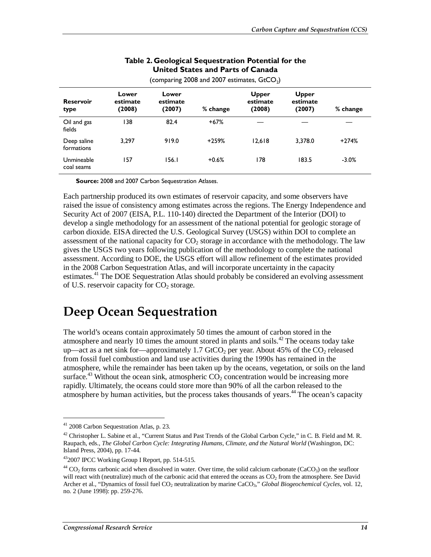| (comparing 2008 and 2007 estimates, $GtCO2$ ) |                             |                             |          |                                    |                             |          |
|-----------------------------------------------|-----------------------------|-----------------------------|----------|------------------------------------|-----------------------------|----------|
| <b>Reservoir</b><br>type                      | Lower<br>estimate<br>(2008) | Lower<br>estimate<br>(2007) | % change | <b>Upper</b><br>estimate<br>(2008) | Upper<br>estimate<br>(2007) | % change |
| Oil and gas<br>fields                         | 138                         | 82.4                        | $+67%$   |                                    |                             |          |
| Deep saline<br>formations                     | 3.297                       | 919.0                       | $+259%$  | 12.618                             | 3.378.0                     | $+274%$  |
| Unmineable<br>coal seams                      | 157                         | 156.1                       | $+0.6%$  | 178                                | 183.5                       | $-3.0%$  |

#### **Table 2. Geological Sequestration Potential for the United States and Parts of Canada**

**Source:** 2008 and 2007 Carbon Sequestration Atlases.

Each partnership produced its own estimates of reservoir capacity, and some observers have raised the issue of consistency among estimates across the regions. The Energy Independence and Security Act of 2007 (EISA, P.L. 110-140) directed the Department of the Interior (DOI) to develop a single methodology for an assessment of the national potential for geologic storage of carbon dioxide. EISA directed the U.S. Geological Survey (USGS) within DOI to complete an assessment of the national capacity for  $CO<sub>2</sub>$  storage in accordance with the methodology. The law gives the USGS two years following publication of the methodology to complete the national assessment. According to DOE, the USGS effort will allow refinement of the estimates provided in the 2008 Carbon Sequestration Atlas, and will incorporate uncertainty in the capacity estimates.<sup>41</sup> The DOE Sequestration Atlas should probably be considered an evolving assessment of U.S. reservoir capacity for  $CO<sub>2</sub>$  storage.

## **Deep Ocean Sequestration**

The world's oceans contain approximately 50 times the amount of carbon stored in the atmosphere and nearly 10 times the amount stored in plants and soils.<sup>42</sup> The oceans today take up—act as a net sink for—approximately 1.7 GtCO<sub>2</sub> per year. About 45% of the  $CO_2$  released from fossil fuel combustion and land use activities during the 1990s has remained in the atmosphere, while the remainder has been taken up by the oceans, vegetation, or soils on the land surface.<sup>43</sup> Without the ocean sink, atmospheric  $CO<sub>2</sub>$  concentration would be increasing more rapidly. Ultimately, the oceans could store more than 90% of all the carbon released to the atmosphere by human activities, but the process takes thousands of years.<sup>44</sup> The ocean's capacity

<sup>41 2008</sup> Carbon Sequestration Atlas, p. 23.

<sup>&</sup>lt;sup>42</sup> Christopher L. Sabine et al., "Current Status and Past Trends of the Global Carbon Cycle," in C. B. Field and M. R. Raupach, eds., *The Global Carbon Cycle: Integrating Humans, Climate, and the Natural World* (Washington, DC: Island Press, 2004), pp. 17-44.

<sup>432007</sup> IPCC Working Group I Report, pp. 514-515.

 $^{44}$  CO<sub>2</sub> forms carbonic acid when dissolved in water. Over time, the solid calcium carbonate (CaCO<sub>3</sub>) on the seafloor will react with (neutralize) much of the carbonic acid that entered the oceans as CO<sub>2</sub> from the atmosphere. See David Archer et al., "Dynamics of fossil fuel CO<sub>2</sub> neutralization by marine CaCO<sub>3</sub>," *Global Biogeochemical Cycles*, vol. 12, no. 2 (June 1998): pp. 259-276.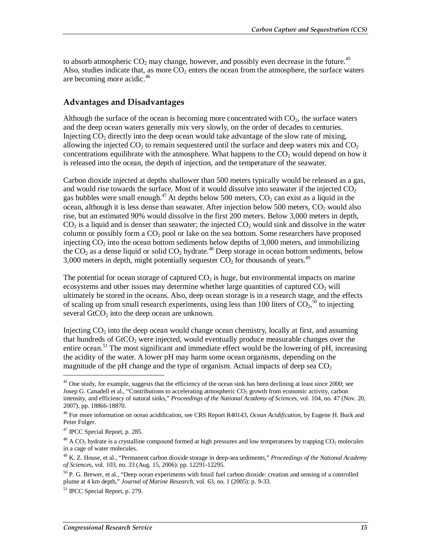to absorb atmospheric  $CO_2$  may change, however, and possibly even decrease in the future.<sup>45</sup> Also, studies indicate that, as more  $CO<sub>2</sub>$  enters the ocean from the atmosphere, the surface waters are becoming more acidic.<sup>46</sup>

#### **Advantages and Disadvantages**

Although the surface of the ocean is becoming more concentrated with  $CO<sub>2</sub>$ , the surface waters and the deep ocean waters generally mix very slowly, on the order of decades to centuries. Injecting  $CO<sub>2</sub>$  directly into the deep ocean would take advantage of the slow rate of mixing, allowing the injected  $CO<sub>2</sub>$  to remain sequestered until the surface and deep waters mix and  $CO<sub>2</sub>$ concentrations equilibrate with the atmosphere. What happens to the  $CO<sub>2</sub>$  would depend on how it is released into the ocean, the depth of injection, and the temperature of the seawater.

Carbon dioxide injected at depths shallower than 500 meters typically would be released as a gas, and would rise towards the surface. Most of it would dissolve into seawater if the injected  $CO<sub>2</sub>$ gas bubbles were small enough.<sup>47</sup> At depths below 500 meters,  $CO_2$  can exist as a liquid in the ocean, although it is less dense than seawater. After injection below  $500$  meters,  $CO<sub>2</sub>$  would also rise, but an estimated 90% would dissolve in the first 200 meters. Below 3,000 meters in depth,  $CO<sub>2</sub>$  is a liquid and is denser than seawater; the injected  $CO<sub>2</sub>$  would sink and dissolve in the water column or possibly form a  $CO<sub>2</sub>$  pool or lake on the sea bottom. Some researchers have proposed injecting  $CO<sub>2</sub>$  into the ocean bottom sediments below depths of 3,000 meters, and immobilizing the  $CO_2$  as a dense liquid or solid  $CO_2$  hydrate.<sup>48</sup> Deep storage in ocean bottom sediments, below 3,000 meters in depth, might potentially sequester  $CO<sub>2</sub>$  for thousands of years.<sup>49</sup>

The potential for ocean storage of captured  $CO<sub>2</sub>$  is huge, but environmental impacts on marine ecosystems and other issues may determine whether large quantities of captured  $CO<sub>2</sub>$  will ultimately be stored in the oceans. Also, deep ocean storage is in a research stage, and the effects of scaling up from small research experiments, using less than 100 liters of  $CO<sub>2</sub>$ ,<sup>50</sup> to injecting several  $GtCO<sub>2</sub>$  into the deep ocean are unknown.

Injecting  $CO<sub>2</sub>$  into the deep ocean would change ocean chemistry, locally at first, and assuming that hundreds of  $GtCO<sub>2</sub>$  were injected, would eventually produce measurable changes over the entire ocean.<sup>51</sup> The most significant and immediate effect would be the lowering of pH, increasing the acidity of the water. A lower pH may harm some ocean organisms, depending on the magnitude of the pH change and the type of organism. Actual impacts of deep sea  $CO<sub>2</sub>$ 

<sup>&</sup>lt;sup>45</sup> One study, for example, suggests that the efficiency of the ocean sink has been declining at least since 2000; see Josep G. Canadell et al., "Contributions to accelerating atmospheric CO<sub>2</sub> growth from economic activity, carbon intensity, and efficiency of natural sinks," *Proceedings of the National Academy of Science*s, vol. 104, no. 47 (Nov. 20, 2007), pp. 18866-18870.

<sup>46</sup> For more information on ocean acidification, see CRS Report R40143, *Ocean Acidification*, by Eugene H. Buck and Peter Folger.

<sup>47</sup> IPCC Special Report, p. 285.

 $^{48}$  A CO<sub>2</sub> hydrate is a crystalline compound formed at high pressures and low temperatures by trapping CO<sub>2</sub> molecules in a cage of water molecules.

<sup>49</sup> K. Z. House, et al., "Permanent carbon dioxide storage in deep-sea sediments," *Proceedings of the National Academy of Science*s, vol. 103, no. 33 (Aug. 15, 2006): pp. 12291-12295.

<sup>&</sup>lt;sup>50</sup> P. G. Brewer, et al., "Deep ocean experiments with fossil fuel carbon dioxide: creation and sensing of a controlled plume at 4 km depth," *Journal of Marine Research*, vol. 63, no. 1 (2005): p. 9-33.

<sup>51</sup> IPCC Special Report, p. 279.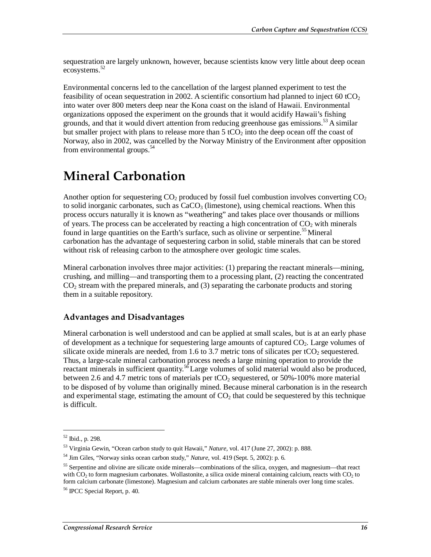sequestration are largely unknown, however, because scientists know very little about deep ocean ecosystems.<sup>52</sup>

Environmental concerns led to the cancellation of the largest planned experiment to test the feasibility of ocean sequestration in 2002. A scientific consortium had planned to inject 60 tCO<sub>2</sub> into water over 800 meters deep near the Kona coast on the island of Hawaii. Environmental organizations opposed the experiment on the grounds that it would acidify Hawaii's fishing grounds, and that it would divert attention from reducing greenhouse gas emissions.<sup>53</sup> A similar but smaller project with plans to release more than  $5 \text{ tCO}_2$  into the deep ocean off the coast of Norway, also in 2002, was cancelled by the Norway Ministry of the Environment after opposition from environmental groups.<sup>54</sup>

## **Mineral Carbonation**

Another option for sequestering  $CO_2$  produced by fossil fuel combustion involves converting  $CO_2$ to solid inorganic carbonates, such as  $CaCO<sub>3</sub>$  (limestone), using chemical reactions. When this process occurs naturally it is known as "weathering" and takes place over thousands or millions of years. The process can be accelerated by reacting a high concentration of  $CO<sub>2</sub>$  with minerals found in large quantities on the Earth's surface, such as olivine or serpentine.<sup>55</sup> Mineral carbonation has the advantage of sequestering carbon in solid, stable minerals that can be stored without risk of releasing carbon to the atmosphere over geologic time scales.

Mineral carbonation involves three major activities: (1) preparing the reactant minerals—mining, crushing, and milling—and transporting them to a processing plant, (2) reacting the concentrated  $CO<sub>2</sub>$  stream with the prepared minerals, and (3) separating the carbonate products and storing them in a suitable repository.

#### **Advantages and Disadvantages**

Mineral carbonation is well understood and can be applied at small scales, but is at an early phase of development as a technique for sequestering large amounts of captured  $CO<sub>2</sub>$ . Large volumes of silicate oxide minerals are needed, from 1.6 to 3.7 metric tons of silicates per tCO<sub>2</sub> sequestered. Thus, a large-scale mineral carbonation process needs a large mining operation to provide the reactant minerals in sufficient quantity.<sup>56</sup> Large volumes of solid material would also be produced, between 2.6 and 4.7 metric tons of materials per  $tCO<sub>2</sub>$  sequestered, or 50%-100% more material to be disposed of by volume than originally mined. Because mineral carbonation is in the research and experimental stage, estimating the amount of  $CO<sub>2</sub>$  that could be sequestered by this technique is difficult.

<u>.</u>

<sup>52</sup> Ibid., p. 298.

<sup>&</sup>lt;sup>53</sup> Virginia Gewin, "Ocean carbon study to quit Hawaii," *Nature*, vol. 417 (June 27, 2002): p. 888.<br><sup>54</sup> Jim Giles, "Norway sinks ocean carbon study," *Nature*, vol. 419 (Sept. 5, 2002): p. 6.

<sup>&</sup>lt;sup>55</sup> Serpentine and olivine are silicate oxide minerals—combinations of the silica, oxygen, and magnesium—that react with  $CO<sub>2</sub>$  to form magnesium carbonates. Wollastonite, a silica oxide mineral containing calcium, reacts with  $CO<sub>2</sub>$  to form calcium carbonate (limestone). Magnesium and calcium carbonates are stable minerals over long time scales.

<sup>56</sup> IPCC Special Report, p. 40.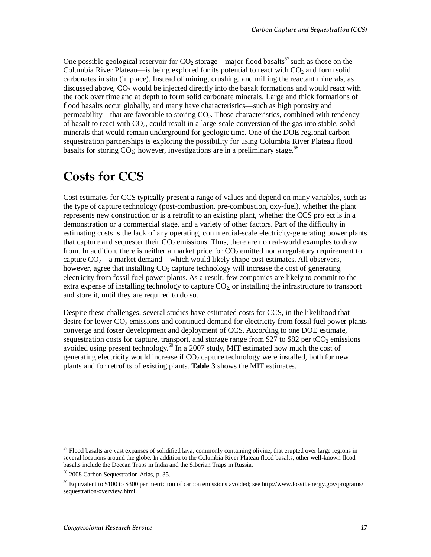One possible geological reservoir for  $CO<sub>2</sub>$  storage—major flood basalts<sup>57</sup> such as those on the Columbia River Plateau—is being explored for its potential to react with  $CO<sub>2</sub>$  and form solid carbonates in situ (in place). Instead of mining, crushing, and milling the reactant minerals, as discussed above,  $CO<sub>2</sub>$  would be injected directly into the basalt formations and would react with the rock over time and at depth to form solid carbonate minerals. Large and thick formations of flood basalts occur globally, and many have characteristics—such as high porosity and permeability—that are favorable to storing CO2. Those characteristics, combined with tendency of basalt to react with  $CO<sub>2</sub>$ , could result in a large-scale conversion of the gas into stable, solid minerals that would remain underground for geologic time. One of the DOE regional carbon sequestration partnerships is exploring the possibility for using Columbia River Plateau flood basalts for storing  $CO_2$ ; however, investigations are in a preliminary stage.<sup>58</sup>

## **Costs for CCS**

Cost estimates for CCS typically present a range of values and depend on many variables, such as the type of capture technology (post-combustion, pre-combustion, oxy-fuel), whether the plant represents new construction or is a retrofit to an existing plant, whether the CCS project is in a demonstration or a commercial stage, and a variety of other factors. Part of the difficulty in estimating costs is the lack of any operating, commercial-scale electricity-generating power plants that capture and sequester their  $CO<sub>2</sub>$  emissions. Thus, there are no real-world examples to draw from. In addition, there is neither a market price for  $CO<sub>2</sub>$  emitted nor a regulatory requirement to capture  $CO_2$ —a market demand—which would likely shape cost estimates. All observers, however, agree that installing  $CO<sub>2</sub>$  capture technology will increase the cost of generating electricity from fossil fuel power plants. As a result, few companies are likely to commit to the extra expense of installing technology to capture  $CO<sub>2</sub>$  or installing the infrastructure to transport and store it, until they are required to do so.

Despite these challenges, several studies have estimated costs for CCS, in the likelihood that desire for lower  $CO<sub>2</sub>$  emissions and continued demand for electricity from fossil fuel power plants converge and foster development and deployment of CCS. According to one DOE estimate, sequestration costs for capture, transport, and storage range from \$27 to \$82 per tCO<sub>2</sub> emissions avoided using present technology.<sup>59</sup> In a 2007 study, MIT estimated how much the cost of generating electricity would increase if  $CO<sub>2</sub>$  capture technology were installed, both for new plants and for retrofits of existing plants. **Table 3** shows the MIT estimates.

<sup>&</sup>lt;sup>57</sup> Flood basalts are vast expanses of solidified lava, commonly containing olivine, that erupted over large regions in several locations around the globe. In addition to the Columbia River Plateau flood basalts, other well-known flood basalts include the Deccan Traps in India and the Siberian Traps in Russia.

<sup>58 2008</sup> Carbon Sequestration Atlas, p. 35.

<sup>59</sup> Equivalent to \$100 to \$300 per metric ton of carbon emissions avoided; see http://www.fossil.energy.gov/programs/ sequestration/overview.html.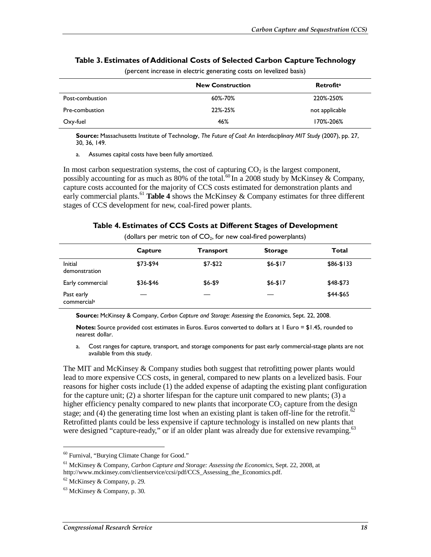|                 | <b>New Construction</b> | <b>Retrofita</b> |
|-----------------|-------------------------|------------------|
| Post-combustion | 60%-70%                 | 220%-250%        |
| Pre-combustion  | 22%-25%                 | not applicable   |
| Oxy-fuel        | 46%                     | 170%-206%        |

#### **Table 3. Estimates of Additional Costs of Selected Carbon Capture Technology**

(percent increase in electric generating costs on levelized basis)

**Source:** Massachusetts Institute of Technology, *The Future of Coal: An Interdisciplinary MIT Study* (2007), pp. 27, 30, 36, 149.

a. Assumes capital costs have been fully amortized.

In most carbon sequestration systems, the cost of capturing  $CO<sub>2</sub>$  is the largest component, possibly accounting for as much as 80% of the total.<sup>60</sup> In a 2008 study by McKinsey & Company, capture costs accounted for the majority of CCS costs estimated for demonstration plants and early commercial plants.<sup>61</sup> **Table 4** shows the McKinsey  $\&$  Company estimates for three different stages of CCS development for new, coal-fired power plants.

#### **Table 4. Estimates of CCS Costs at Different Stages of Development**

|                                       | Capture   | <b>Transport</b> | <b>Storage</b> | Total      |
|---------------------------------------|-----------|------------------|----------------|------------|
| Initial<br>demonstration              | \$73-\$94 | $$7-$22$         | $$6-$17$       | $$86-$133$ |
| Early commercial                      | \$36-\$46 | \$6-\$9          | $$6-$17$       | \$48-\$73  |
| Past early<br>commercial <sup>a</sup> |           |                  |                | \$44-\$65  |

(dollars per metric ton of  $CO<sub>2</sub>$ , for new coal-fired powerplants)

**Source:** McKinsey & Company, *Carbon Capture and Storage: Assessing the Economics*, Sept. 22, 2008.

**Notes:** Source provided cost estimates in Euros. Euros converted to dollars at 1 Euro = \$1.45, rounded to nearest dollar.

a. Cost ranges for capture, transport, and storage components for past early commercial-stage plants are not available from this study.

The MIT and McKinsey & Company studies both suggest that retrofitting power plants would lead to more expensive CCS costs, in general, compared to new plants on a levelized basis. Four reasons for higher costs include (1) the added expense of adapting the existing plant configuration for the capture unit; (2) a shorter lifespan for the capture unit compared to new plants; (3) a higher efficiency penalty compared to new plants that incorporate  $CO<sub>2</sub>$  capture from the design stage; and (4) the generating time lost when an existing plant is taken off-line for the retrofit.<sup>62</sup> Retrofitted plants could be less expensive if capture technology is installed on new plants that were designed "capture-ready," or if an older plant was already due for extensive revamping.<sup>63</sup>

<sup>60</sup> Furnival, "Burying Climate Change for Good."

<sup>61</sup> McKinsey & Company, *Carbon Capture and Storage: Assessing the Economics*, Sept. 22, 2008, at http://www.mckinsey.com/clientservice/ccsi/pdf/CCS\_Assessing\_the\_Economics.pdf.

 $62$  McKinsey & Company, p. 29.

 $63$  McKinsey & Company, p. 30.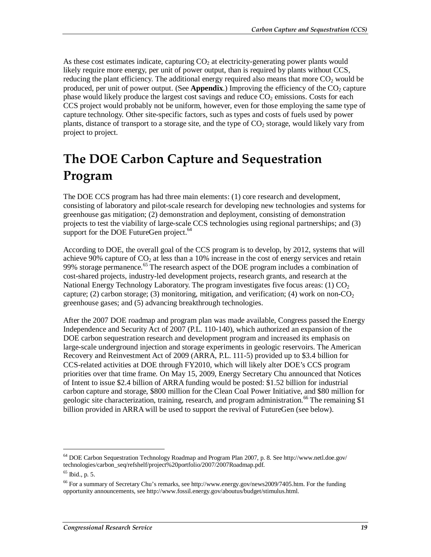As these cost estimates indicate, capturing  $CO<sub>2</sub>$  at electricity-generating power plants would likely require more energy, per unit of power output, than is required by plants without CCS, reducing the plant efficiency. The additional energy required also means that more  $CO<sub>2</sub>$  would be produced, per unit of power output. (See **Appendix**.) Improving the efficiency of the  $CO<sub>2</sub>$  capture phase would likely produce the largest cost savings and reduce  $CO<sub>2</sub>$  emissions. Costs for each CCS project would probably not be uniform, however, even for those employing the same type of capture technology. Other site-specific factors, such as types and costs of fuels used by power plants, distance of transport to a storage site, and the type of  $CO<sub>2</sub>$  storage, would likely vary from project to project.

# **The DOE Carbon Capture and Sequestration Program**

The DOE CCS program has had three main elements: (1) core research and development, consisting of laboratory and pilot-scale research for developing new technologies and systems for greenhouse gas mitigation; (2) demonstration and deployment, consisting of demonstration projects to test the viability of large-scale CCS technologies using regional partnerships; and (3) support for the DOE FutureGen project.<sup>64</sup>

According to DOE, the overall goal of the CCS program is to develop, by 2012, systems that will achieve 90% capture of  $CO<sub>2</sub>$  at less than a 10% increase in the cost of energy services and retain 99% storage permanence.<sup>65</sup> The research aspect of the DOE program includes a combination of cost-shared projects, industry-led development projects, research grants, and research at the National Energy Technology Laboratory. The program investigates five focus areas:  $(1)$  CO<sub>2</sub> capture; (2) carbon storage; (3) monitoring, mitigation, and verification; (4) work on non- $CO<sub>2</sub>$ greenhouse gases; and (5) advancing breakthrough technologies.

After the 2007 DOE roadmap and program plan was made available, Congress passed the Energy Independence and Security Act of 2007 (P.L. 110-140), which authorized an expansion of the DOE carbon sequestration research and development program and increased its emphasis on large-scale underground injection and storage experiments in geologic reservoirs. The American Recovery and Reinvestment Act of 2009 (ARRA, P.L. 111-5) provided up to \$3.4 billion for CCS-related activities at DOE through FY2010, which will likely alter DOE's CCS program priorities over that time frame. On May 15, 2009, Energy Secretary Chu announced that Notices of Intent to issue \$2.4 billion of ARRA funding would be posted: \$1.52 billion for industrial carbon capture and storage, \$800 million for the Clean Coal Power Initiative, and \$80 million for geologic site characterization, training, research, and program administration.<sup>66</sup> The remaining  $$1$ billion provided in ARRA will be used to support the revival of FutureGen (see below).

<sup>64</sup> DOE Carbon Sequestration Technology Roadmap and Program Plan 2007, p. 8. See http://www.netl.doe.gov/ technologies/carbon\_seq/refshelf/project%20portfolio/2007/2007Roadmap.pdf.

 $65$  Ibid., p. 5.

<sup>66</sup> For a summary of Secretary Chu's remarks, see http://www.energy.gov/news2009/7405.htm. For the funding opportunity announcements, see http://www.fossil.energy.gov/aboutus/budget/stimulus.html.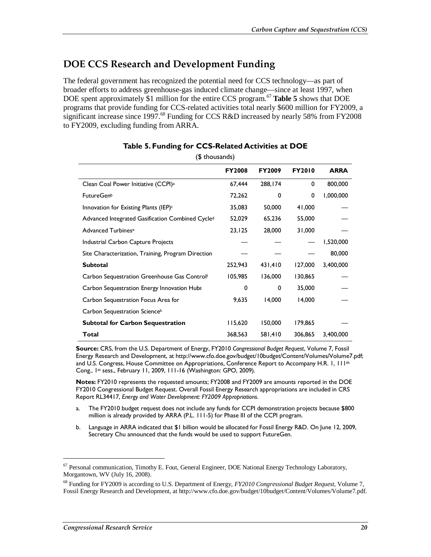## **DOE CCS Research and Development Funding**

The federal government has recognized the potential need for CCS technology—as part of broader efforts to address greenhouse-gas induced climate change—since at least 1997, when DOE spent approximately \$1 million for the entire CCS program.<sup>67</sup> **Table 5** shows that DOE programs that provide funding for CCS-related activities total nearly \$600 million for FY2009, a significant increase since 1997.<sup>68</sup> Funding for CCS R&D increased by nearly 58% from FY2008 to FY2009, excluding funding from ARRA.

|                                                    | <b>FY2008</b> | <b>FY2009</b> | <b>FY2010</b> | <b>ARRA</b> |
|----------------------------------------------------|---------------|---------------|---------------|-------------|
| Clean Coal Power Initiative (CCPI) <sup>a</sup>    | 67,444        | 288,174       | 0             | 800,000     |
| <b>FutureGenb</b>                                  | 72,262        | 0             | 0             | 1,000,000   |
| Innovation for Existing Plants (IEP) <sup>c</sup>  | 35,083        | 50,000        | 41,000        |             |
| Advanced Integrated Gasification Combined Cycled   | 52,029        | 65,236        | 55,000        |             |
| Advanced Turbines <sup>e</sup>                     | 23,125        | 28,000        | 31,000        |             |
| Industrial Carbon Capture Projects                 |               |               |               | 1,520,000   |
| Site Characterization, Training, Program Direction |               |               |               | 80,000      |
| <b>Subtotal</b>                                    | 252,943       | 431,410       | 127,000       | 3,400,000   |
| Carbon Sequestration Greenhouse Gas Controlf       | 105,985       | 136,000       | 130,865       |             |
| Carbon Sequestration Energy Innovation Hubs        | 0             | 0             | 35,000        |             |
| Carbon Sequestration Focus Area for                | 9,635         | 14,000        | 14,000        |             |
| Carbon Sequestration Scienceh                      |               |               |               |             |
| <b>Subtotal for Carbon Sequestration</b>           | 115,620       | 150,000       | 179,865       |             |
| Total                                              | 368,563       | 581,410       | 306,865       | 3,400,000   |

#### **Table 5. Funding for CCS-Related Activities at DOE**  (\$ thousands)

**Source:** CRS, from the U.S. Department of Energy, FY2010 *Congressional Budget Request*, Volume 7, Fossil Energy Research and Development, at http://www.cfo.doe.gov/budget/10budget/Content/Volumes/Volume7.pdf; and U.S. Congress, House Committee on Appropriations, Conference Report to Accompany H.R. 1, 111<sup>th</sup> Cong., 1st sess., February 11, 2009, 111-16 (Washington: GPO, 2009).

**Notes:** FY2010 represents the requested amounts; FY2008 and FY2009 are amounts reported in the DOE FY2010 Congressional Budget Request. Overall Fossil Energy Research appropriations are included in CRS Report RL34417, *Energy and Water Development: FY2009 Appropriations*.

- a. The FY2010 budget request does not include any funds for CCPI demonstration projects because \$800 million is already provided by ARRA (P.L. 111-5) for Phase III of the CCPI program.
- b. Language in ARRA indicated that \$1 billion would be allocated for Fossil Energy R&D. On June 12, 2009, Secretary Chu announced that the funds would be used to support FutureGen.

<u>.</u>

<sup>&</sup>lt;sup>67</sup> Personal communication, Timothy E. Fout, General Engineer, DOE National Energy Technology Laboratory, Morgantown, WV (July 16, 2008).

<sup>68</sup> Funding for FY2009 is according to U.S. Department of Energy*, FY2010 Congressional Budget Request*, Volume 7, Fossil Energy Research and Development, at http://www.cfo.doe.gov/budget/10budget/Content/Volumes/Volume7.pdf.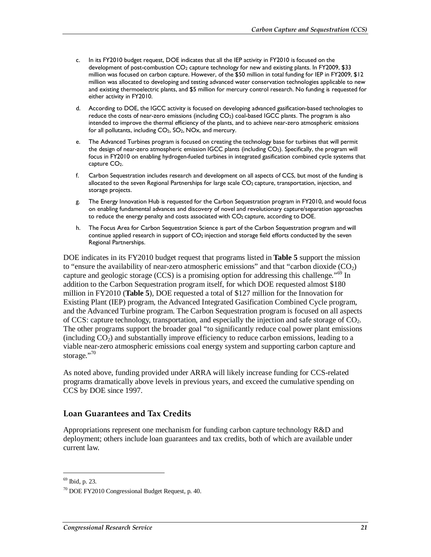- c. In its FY2010 budget request, DOE indicates that all the IEP activity in FY2010 is focused on the development of post-combustion CO<sub>2</sub> capture technology for new and existing plants. In FY2009, \$33 million was focused on carbon capture. However, of the \$50 million in total funding for IEP in FY2009, \$12 million was allocated to developing and testing advanced water conservation technologies applicable to new and existing thermoelectric plants, and \$5 million for mercury control research. No funding is requested for either activity in FY2010.
- d. According to DOE, the IGCC activity is focused on developing advanced gasification-based technologies to reduce the costs of near-zero emissions (including CO<sub>2</sub>) coal-based IGCC plants. The program is also intended to improve the thermal efficiency of the plants, and to achieve near-zero atmospheric emissions for all pollutants, including CO2, SO2, NOx, and mercury.
- e. The Advanced Turbines program is focused on creating the technology base for turbines that will permit the design of near-zero atmospheric emission IGCC plants (including CO<sub>2</sub>). Specifically, the program will focus in FY2010 on enabling hydrogen-fueled turbines in integrated gasification combined cycle systems that capture CO<sub>2</sub>.
- f. Carbon Sequestration includes research and development on all aspects of CCS, but most of the funding is allocated to the seven Regional Partnerships for large scale CO<sub>2</sub> capture, transportation, injection, and storage projects.
- g. The Energy Innovation Hub is requested for the Carbon Sequestration program in FY2010, and would focus on enabling fundamental advances and discovery of novel and revolutionary capture/separation approaches to reduce the energy penalty and costs associated with CO<sub>2</sub> capture, according to DOE.
- h. The Focus Area for Carbon Sequestration Science is part of the Carbon Sequestration program and will continue applied research in support of CO<sub>2</sub> injection and storage field efforts conducted by the seven Regional Partnerships.

DOE indicates in its FY2010 budget request that programs listed in **Table 5** support the mission to "ensure the availability of near-zero atmospheric emissions" and that "carbon dioxide  $(CO_2)$ capture and geologic storage (CCS) is a promising option for addressing this challenge.<sup>"69</sup> In addition to the Carbon Sequestration program itself, for which DOE requested almost \$180 million in FY2010 (**Table 5**), DOE requested a total of \$127 million for the Innovation for Existing Plant (IEP) program, the Advanced Integrated Gasification Combined Cycle program, and the Advanced Turbine program. The Carbon Sequestration program is focused on all aspects of CCS: capture technology, transportation, and especially the injection and safe storage of  $CO<sub>2</sub>$ . The other programs support the broader goal "to significantly reduce coal power plant emissions (including  $CO<sub>2</sub>$ ) and substantially improve efficiency to reduce carbon emissions, leading to a viable near-zero atmospheric emissions coal energy system and supporting carbon capture and storage." $70$ 

As noted above, funding provided under ARRA will likely increase funding for CCS-related programs dramatically above levels in previous years, and exceed the cumulative spending on CCS by DOE since 1997.

#### **Loan Guarantees and Tax Credits**

Appropriations represent one mechanism for funding carbon capture technology R&D and deployment; others include loan guarantees and tax credits, both of which are available under current law.

 $69$  Ibid, p. 23.

<sup>70</sup> DOE FY2010 Congressional Budget Request, p. 40.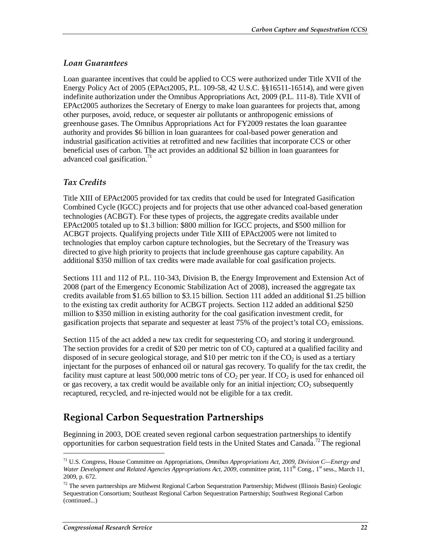#### *Loan Guarantees*

Loan guarantee incentives that could be applied to CCS were authorized under Title XVII of the Energy Policy Act of 2005 (EPAct2005, P.L. 109-58, 42 U.S.C. §§16511-16514), and were given indefinite authorization under the Omnibus Appropriations Act, 2009 (P.L. 111-8). Title XVII of EPAct2005 authorizes the Secretary of Energy to make loan guarantees for projects that, among other purposes, avoid, reduce, or sequester air pollutants or anthropogenic emissions of greenhouse gases. The Omnibus Appropriations Act for FY2009 restates the loan guarantee authority and provides \$6 billion in loan guarantees for coal-based power generation and industrial gasification activities at retrofitted and new facilities that incorporate CCS or other beneficial uses of carbon. The act provides an additional \$2 billion in loan guarantees for advanced coal gasification.<sup>71</sup>

#### *Tax Credits*

Title XIII of EPAct2005 provided for tax credits that could be used for Integrated Gasification Combined Cycle (IGCC) projects and for projects that use other advanced coal-based generation technologies (ACBGT). For these types of projects, the aggregate credits available under EPAct2005 totaled up to \$1.3 billion: \$800 million for IGCC projects, and \$500 million for ACBGT projects. Qualifying projects under Title XIII of EPAct2005 were not limited to technologies that employ carbon capture technologies, but the Secretary of the Treasury was directed to give high priority to projects that include greenhouse gas capture capability. An additional \$350 million of tax credits were made available for coal gasification projects.

Sections 111 and 112 of P.L. 110-343, Division B, the Energy Improvement and Extension Act of 2008 (part of the Emergency Economic Stabilization Act of 2008), increased the aggregate tax credits available from \$1.65 billion to \$3.15 billion. Section 111 added an additional \$1.25 billion to the existing tax credit authority for ACBGT projects. Section 112 added an additional \$250 million to \$350 million in existing authority for the coal gasification investment credit, for gasification projects that separate and sequester at least  $75\%$  of the project's total  $CO<sub>2</sub>$  emissions.

Section 115 of the act added a new tax credit for sequestering  $CO<sub>2</sub>$  and storing it underground. The section provides for a credit of \$20 per metric ton of  $CO<sub>2</sub>$  captured at a qualified facility and disposed of in secure geological storage, and \$10 per metric ton if the  $CO<sub>2</sub>$  is used as a tertiary injectant for the purposes of enhanced oil or natural gas recovery. To qualify for the tax credit, the facility must capture at least 500,000 metric tons of  $CO<sub>2</sub>$  per year. If  $CO<sub>2</sub>$  is used for enhanced oil or gas recovery, a tax credit would be available only for an initial injection;  $CO<sub>2</sub>$  subsequently recaptured, recycled, and re-injected would not be eligible for a tax credit.

## **Regional Carbon Sequestration Partnerships**

Beginning in 2003, DOE created seven regional carbon sequestration partnerships to identify opportunities for carbon sequestration field tests in the United States and Canada.<sup>72</sup> The regional

<sup>71</sup> U.S. Congress, House Committee on Appropriations, *Omnibus Appropriations Act, 2009, Division C—Energy and Water Development and Related Agencies Appropriations Act, 2009*, committee print,  $111^{\text{th}}$  Cong.,  $1^{\text{st}}$  sess., March 11, 2009, p. 672.

 $72$  The seven partnerships are Midwest Regional Carbon Sequestration Partnership; Midwest (Illinois Basin) Geologic Sequestration Consortium; Southeast Regional Carbon Sequestration Partnership; Southwest Regional Carbon (continued...)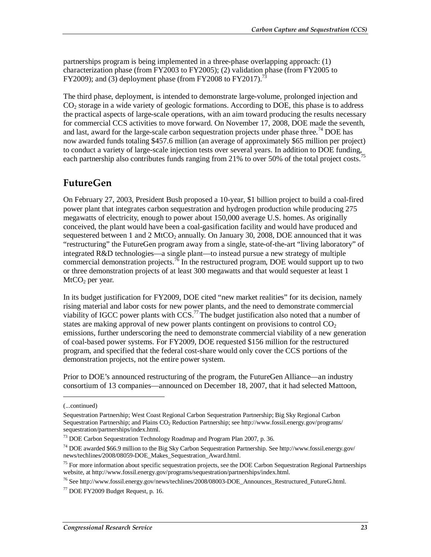partnerships program is being implemented in a three-phase overlapping approach: (1) characterization phase (from FY2003 to FY2005); (2) validation phase (from FY2005 to FY2009); and (3) deployment phase (from FY2008 to FY2017).<sup>7</sup>

The third phase, deployment, is intended to demonstrate large-volume, prolonged injection and  $CO<sub>2</sub>$  storage in a wide variety of geologic formations. According to DOE, this phase is to address the practical aspects of large-scale operations, with an aim toward producing the results necessary for commercial CCS activities to move forward. On November 17, 2008, DOE made the seventh, and last, award for the large-scale carbon sequestration projects under phase three.<sup>74</sup> DOE has now awarded funds totaling \$457.6 million (an average of approximately \$65 million per project) to conduct a variety of large-scale injection tests over several years. In addition to DOE funding, each partnership also contributes funds ranging from 21% to over 50% of the total project costs.<sup>75</sup>

## **FutureGen**

On February 27, 2003, President Bush proposed a 10-year, \$1 billion project to build a coal-fired power plant that integrates carbon sequestration and hydrogen production while producing 275 megawatts of electricity, enough to power about 150,000 average U.S. homes. As originally conceived, the plant would have been a coal-gasification facility and would have produced and sequestered between 1 and 2 MtCO<sub>2</sub> annually. On January 30, 2008, DOE announced that it was "restructuring" the FutureGen program away from a single, state-of-the-art "living laboratory" of integrated R&D technologies—a single plant—to instead pursue a new strategy of multiple commercial demonstration projects.<sup>76</sup> In the restructured program, DOE would support up to two or three demonstration projects of at least 300 megawatts and that would sequester at least 1  $MtCO<sub>2</sub>$  per year.

In its budget justification for FY2009, DOE cited "new market realities" for its decision, namely rising material and labor costs for new power plants, and the need to demonstrate commercial viability of IGCC power plants with  $\overline{CCS}$ .<sup>77</sup> The budget justification also noted that a number of states are making approval of new power plants contingent on provisions to control  $CO<sub>2</sub>$ emissions, further underscoring the need to demonstrate commercial viability of a new generation of coal-based power systems. For FY2009, DOE requested \$156 million for the restructured program, and specified that the federal cost-share would only cover the CCS portions of the demonstration projects, not the entire power system.

Prior to DOE's announced restructuring of the program, the FutureGen Alliance—an industry consortium of 13 companies—announced on December 18, 2007, that it had selected Mattoon,

<u>.</u>

<sup>76</sup> See http://www.fossil.energy.gov/news/techlines/2008/08003-DOE\_Announces\_Restructured\_FutureG.html.

<sup>(...</sup>continued)

Sequestration Partnership; West Coast Regional Carbon Sequestration Partnership; Big Sky Regional Carbon Sequestration Partnership; and Plains CO2 Reduction Partnership; see http://www.fossil.energy.gov/programs/ sequestration/partnerships/index.html.

 $73$  DOE Carbon Sequestration Technology Roadmap and Program Plan 2007, p. 36.

<sup>&</sup>lt;sup>74</sup> DOE awarded \$66.9 million to the Big Sky Carbon Sequestration Partnership. See http://www.fossil.energy.gov/ news/techlines/2008/08059-DOE\_Makes\_Sequestration\_Award.html.

 $<sup>75</sup>$  For more information about specific sequestration projects, see the DOE Carbon Sequestration Regional Partnerships</sup> website, at http://www.fossil.energy.gov/programs/sequestration/partnerships/index.html.

 $77$  DOE FY2009 Budget Request, p. 16.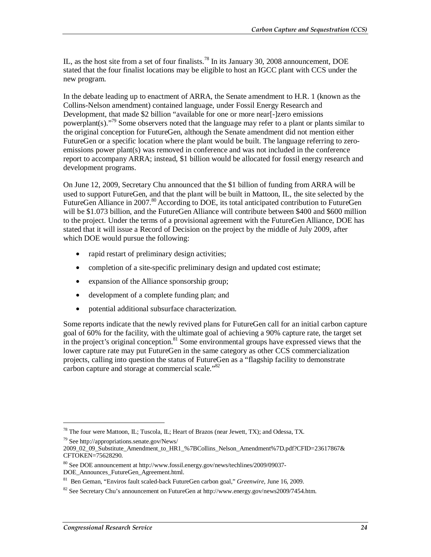IL, as the host site from a set of four finalists.<sup>78</sup> In its January 30, 2008 announcement, DOE stated that the four finalist locations may be eligible to host an IGCC plant with CCS under the new program.

In the debate leading up to enactment of ARRA, the Senate amendment to H.R. 1 (known as the Collins-Nelson amendment) contained language, under Fossil Energy Research and Development, that made \$2 billion "available for one or more near<sup>[-]</sup>zero emissions powerplant(s).<sup>"/9</sup> Some observers noted that the language may refer to a plant or plants similar to the original conception for FutureGen, although the Senate amendment did not mention either FutureGen or a specific location where the plant would be built. The language referring to zeroemissions power plant(s) was removed in conference and was not included in the conference report to accompany ARRA; instead, \$1 billion would be allocated for fossil energy research and development programs.

On June 12, 2009, Secretary Chu announced that the \$1 billion of funding from ARRA will be used to support FutureGen, and that the plant will be built in Mattoon, IL, the site selected by the FutureGen Alliance in 2007.<sup>80</sup> According to DOE, its total anticipated contribution to FutureGen will be \$1.073 billion, and the FutureGen Alliance will contribute between \$400 and \$600 million to the project. Under the terms of a provisional agreement with the FutureGen Alliance, DOE has stated that it will issue a Record of Decision on the project by the middle of July 2009, after which DOE would pursue the following:

- rapid restart of preliminary design activities;
- completion of a site-specific preliminary design and updated cost estimate;
- expansion of the Alliance sponsorship group;
- development of a complete funding plan; and
- potential additional subsurface characterization.

Some reports indicate that the newly revived plans for FutureGen call for an initial carbon capture goal of 60% for the facility, with the ultimate goal of achieving a 90% capture rate, the target set in the project's original conception. $81$  Some environmental groups have expressed views that the lower capture rate may put FutureGen in the same category as other CCS commercialization projects, calling into question the status of FutureGen as a "flagship facility to demonstrate carbon capture and storage at commercial scale."<sup>82</sup>

79 See http://appropriations.senate.gov/News/

<sup>&</sup>lt;sup>78</sup> The four were Mattoon, IL; Tuscola, IL; Heart of Brazos (near Jewett, TX); and Odessa, TX.

<sup>2009</sup>\_02\_09\_Substitute\_Amendment\_to\_HR1\_%7BCollins\_Nelson\_Amendment%7D.pdf?CFID=23617867& CFTOKEN=75628290.

<sup>80</sup> See DOE announcement at http://www.fossil.energy.gov/news/techlines/2009/09037- DOE\_Announces\_FutureGen\_Agreement.html.

<sup>81</sup> Ben Geman, "Enviros fault scaled-back FutureGen carbon goal," *Greenwire*, June 16, 2009.

<sup>&</sup>lt;sup>82</sup> See Secretary Chu's announcement on FutureGen at http://www.energy.gov/news2009/7454.htm.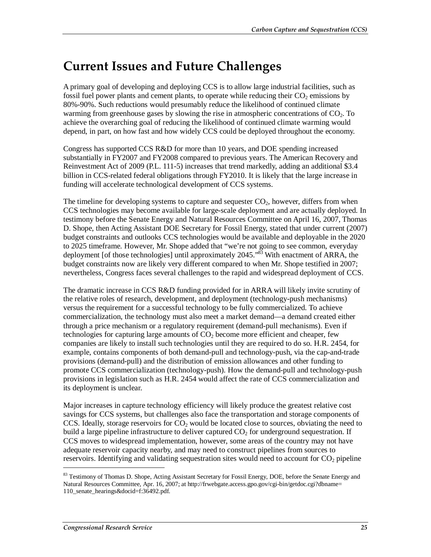## **Current Issues and Future Challenges**

A primary goal of developing and deploying CCS is to allow large industrial facilities, such as fossil fuel power plants and cement plants, to operate while reducing their  $CO<sub>2</sub>$  emissions by 80%-90%. Such reductions would presumably reduce the likelihood of continued climate warming from greenhouse gases by slowing the rise in atmospheric concentrations of  $CO<sub>2</sub>$ . To achieve the overarching goal of reducing the likelihood of continued climate warming would depend, in part, on how fast and how widely CCS could be deployed throughout the economy.

Congress has supported CCS R&D for more than 10 years, and DOE spending increased substantially in FY2007 and FY2008 compared to previous years. The American Recovery and Reinvestment Act of 2009 (P.L. 111-5) increases that trend markedly, adding an additional \$3.4 billion in CCS-related federal obligations through FY2010. It is likely that the large increase in funding will accelerate technological development of CCS systems.

The timeline for developing systems to capture and sequester  $CO<sub>2</sub>$ , however, differs from when CCS technologies may become available for large-scale deployment and are actually deployed. In testimony before the Senate Energy and Natural Resources Committee on April 16, 2007, Thomas D. Shope, then Acting Assistant DOE Secretary for Fossil Energy, stated that under current (2007) budget constraints and outlooks CCS technologies would be available and deployable in the 2020 to 2025 timeframe. However, Mr. Shope added that "we're not going to see common, everyday deployment [of those technologies] until approximately 2045.<sup>83</sup> With enactment of ARRA, the budget constraints now are likely very different compared to when Mr. Shope testified in 2007; nevertheless, Congress faces several challenges to the rapid and widespread deployment of CCS.

The dramatic increase in CCS R&D funding provided for in ARRA will likely invite scrutiny of the relative roles of research, development, and deployment (technology-push mechanisms) versus the requirement for a successful technology to be fully commercialized. To achieve commercialization, the technology must also meet a market demand—a demand created either through a price mechanism or a regulatory requirement (demand-pull mechanisms). Even if technologies for capturing large amounts of  $CO<sub>2</sub>$  become more efficient and cheaper, few companies are likely to install such technologies until they are required to do so. H.R. 2454, for example, contains components of both demand-pull and technology-push, via the cap-and-trade provisions (demand-pull) and the distribution of emission allowances and other funding to promote CCS commercialization (technology-push). How the demand-pull and technology-push provisions in legislation such as H.R. 2454 would affect the rate of CCS commercialization and its deployment is unclear.

Major increases in capture technology efficiency will likely produce the greatest relative cost savings for CCS systems, but challenges also face the transportation and storage components of CCS. Ideally, storage reservoirs for  $CO<sub>2</sub>$  would be located close to sources, obviating the need to build a large pipeline infrastructure to deliver captured  $CO<sub>2</sub>$  for underground sequestration. If CCS moves to widespread implementation, however, some areas of the country may not have adequate reservoir capacity nearby, and may need to construct pipelines from sources to reservoirs. Identifying and validating sequestration sites would need to account for  $CO<sub>2</sub>$  pipeline

<sup>&</sup>lt;sup>83</sup> Testimony of Thomas D. Shope, Acting Assistant Secretary for Fossil Energy, DOE, before the Senate Energy and Natural Resources Committee, Apr. 16, 2007; at http://frwebgate.access.gpo.gov/cgi-bin/getdoc.cgi?dbname= 110\_senate\_hearings&docid=f:36492.pdf.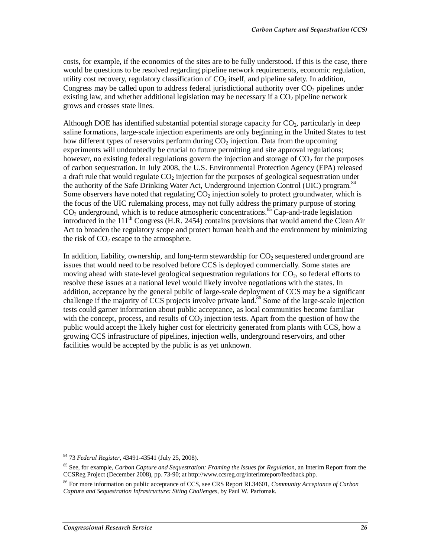costs, for example, if the economics of the sites are to be fully understood. If this is the case, there would be questions to be resolved regarding pipeline network requirements, economic regulation, utility cost recovery, regulatory classification of  $CO<sub>2</sub>$  itself, and pipeline safety. In addition, Congress may be called upon to address federal jurisdictional authority over  $CO<sub>2</sub>$  pipelines under existing law, and whether additional legislation may be necessary if a  $CO<sub>2</sub>$  pipeline network grows and crosses state lines.

Although DOE has identified substantial potential storage capacity for  $CO<sub>2</sub>$ , particularly in deep saline formations, large-scale injection experiments are only beginning in the United States to test how different types of reservoirs perform during  $CO<sub>2</sub>$  injection. Data from the upcoming experiments will undoubtedly be crucial to future permitting and site approval regulations; however, no existing federal regulations govern the injection and storage of  $CO<sub>2</sub>$  for the purposes of carbon sequestration. In July 2008, the U.S. Environmental Protection Agency (EPA) released a draft rule that would regulate  $CO<sub>2</sub>$  injection for the purposes of geological sequestration under the authority of the Safe Drinking Water Act, Underground Injection Control (UIC) program.<sup>84</sup> Some observers have noted that regulating  $CO<sub>2</sub>$  injection solely to protect groundwater, which is the focus of the UIC rulemaking process, may not fully address the primary purpose of storing  $CO<sub>2</sub>$  underground, which is to reduce atmospheric concentrations.<sup>85</sup> Cap-and-trade legislation introduced in the 111<sup>th</sup> Congress (H.R. 2454) contains provisions that would amend the Clean Air Act to broaden the regulatory scope and protect human health and the environment by minimizing the risk of  $CO<sub>2</sub>$  escape to the atmosphere.

In addition, liability, ownership, and long-term stewardship for  $CO<sub>2</sub>$  sequestered underground are issues that would need to be resolved before CCS is deployed commercially. Some states are moving ahead with state-level geological sequestration regulations for  $CO<sub>2</sub>$ , so federal efforts to resolve these issues at a national level would likely involve negotiations with the states. In addition, acceptance by the general public of large-scale deployment of CCS may be a significant challenge if the majority of CCS projects involve private land.<sup>86</sup> Some of the large-scale injection tests could garner information about public acceptance, as local communities become familiar with the concept, process, and results of  $CO<sub>2</sub>$  injection tests. Apart from the question of how the public would accept the likely higher cost for electricity generated from plants with CCS, how a growing CCS infrastructure of pipelines, injection wells, underground reservoirs, and other facilities would be accepted by the public is as yet unknown.

<sup>84 73</sup> *Federal Register*, 43491-43541 (July 25, 2008).

<sup>85</sup> See, for example, *Carbon Capture and Sequestration: Framing the Issues for Regulation*, an Interim Report from the CCSReg Project (December 2008), pp. 73-90; at http://www.ccsreg.org/interimreport/feedback.php.

<sup>86</sup> For more information on public acceptance of CCS, see CRS Report RL34601, *Community Acceptance of Carbon Capture and Sequestration Infrastructure: Siting Challenges*, by Paul W. Parfomak.